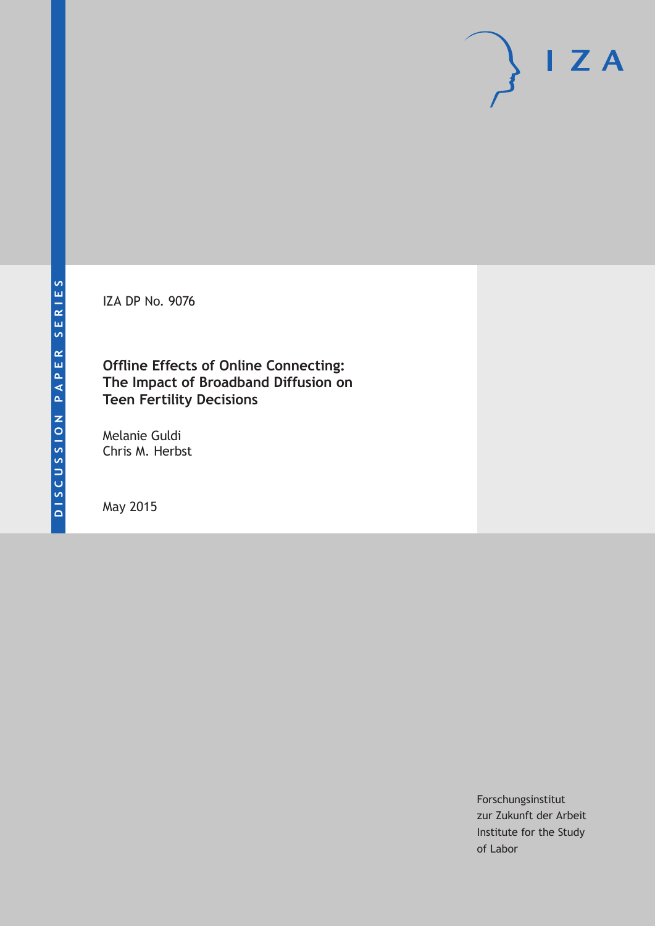IZA DP No. 9076

**Offline Effects of Online Connecting: The Impact of Broadband Diffusion on Teen Fertility Decisions**

Melanie Guldi Chris M. Herbst

May 2015

Forschungsinstitut zur Zukunft der Arbeit Institute for the Study of Labor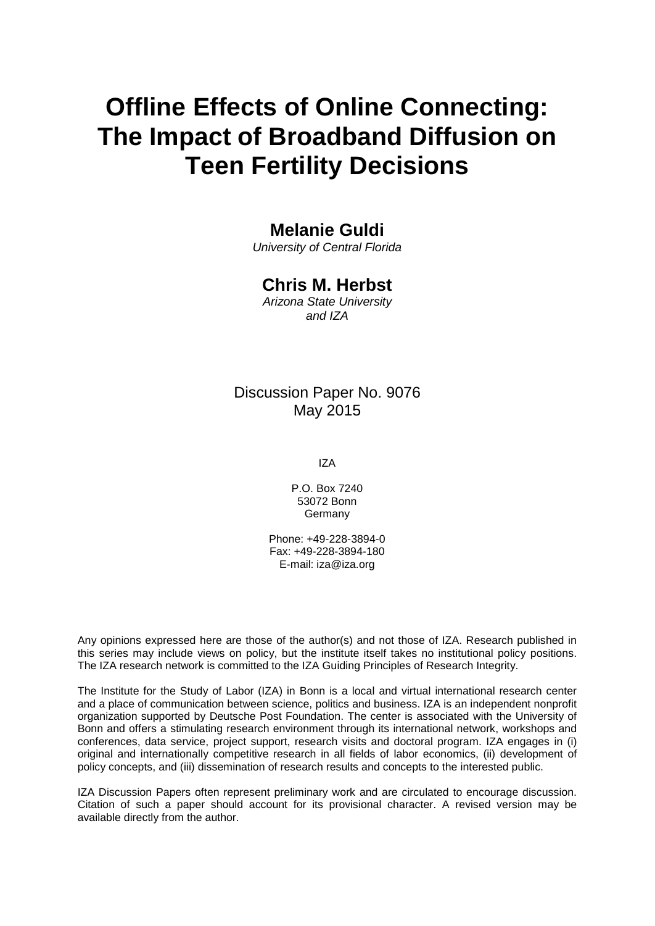# **Offline Effects of Online Connecting: The Impact of Broadband Diffusion on Teen Fertility Decisions**

### **Melanie Guldi**

*University of Central Florida*

## **Chris M. Herbst**

*Arizona State University and IZA*

## Discussion Paper No. 9076 May 2015

IZA

P.O. Box 7240 53072 Bonn Germany

Phone: +49-228-3894-0 Fax: +49-228-3894-180 E-mail: iza@iza.org

Any opinions expressed here are those of the author(s) and not those of IZA. Research published in this series may include views on policy, but the institute itself takes no institutional policy positions. The IZA research network is committed to the IZA Guiding Principles of Research Integrity.

The Institute for the Study of Labor (IZA) in Bonn is a local and virtual international research center and a place of communication between science, politics and business. IZA is an independent nonprofit organization supported by Deutsche Post Foundation. The center is associated with the University of Bonn and offers a stimulating research environment through its international network, workshops and conferences, data service, project support, research visits and doctoral program. IZA engages in (i) original and internationally competitive research in all fields of labor economics, (ii) development of policy concepts, and (iii) dissemination of research results and concepts to the interested public.

IZA Discussion Papers often represent preliminary work and are circulated to encourage discussion. Citation of such a paper should account for its provisional character. A revised version may be available directly from the author.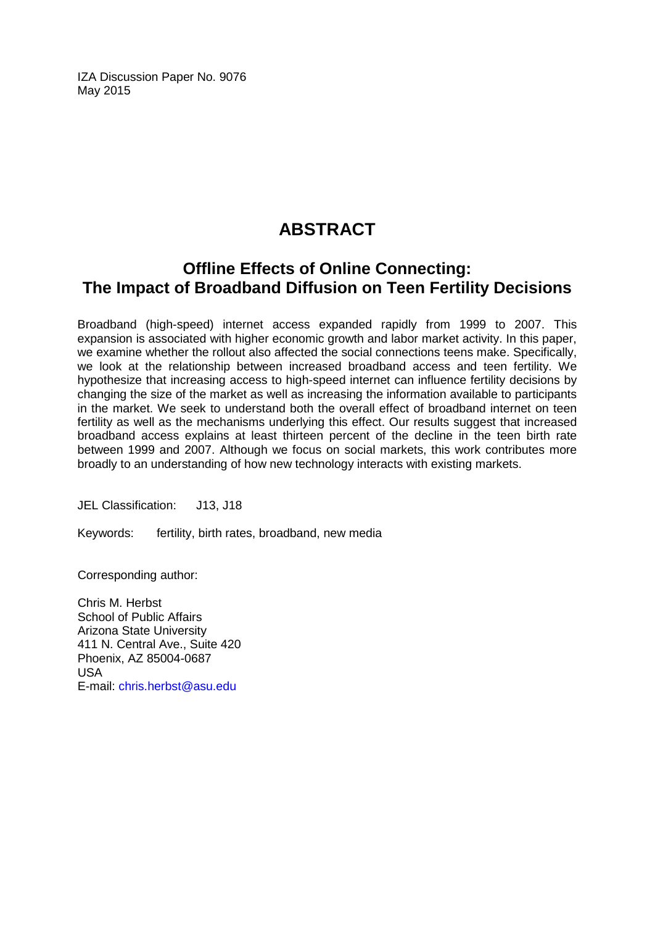IZA Discussion Paper No. 9076 May 2015

# **ABSTRACT**

# **Offline Effects of Online Connecting: The Impact of Broadband Diffusion on Teen Fertility Decisions**

Broadband (high-speed) internet access expanded rapidly from 1999 to 2007. This expansion is associated with higher economic growth and labor market activity. In this paper, we examine whether the rollout also affected the social connections teens make. Specifically, we look at the relationship between increased broadband access and teen fertility. We hypothesize that increasing access to high-speed internet can influence fertility decisions by changing the size of the market as well as increasing the information available to participants in the market. We seek to understand both the overall effect of broadband internet on teen fertility as well as the mechanisms underlying this effect. Our results suggest that increased broadband access explains at least thirteen percent of the decline in the teen birth rate between 1999 and 2007. Although we focus on social markets, this work contributes more broadly to an understanding of how new technology interacts with existing markets.

JEL Classification: J13, J18

Keywords: fertility, birth rates, broadband, new media

Corresponding author:

Chris M. Herbst School of Public Affairs Arizona State University 411 N. Central Ave., Suite 420 Phoenix, AZ 85004-0687 USA E-mail: [chris.herbst@asu.edu](mailto:chris.herbst@asu.edu)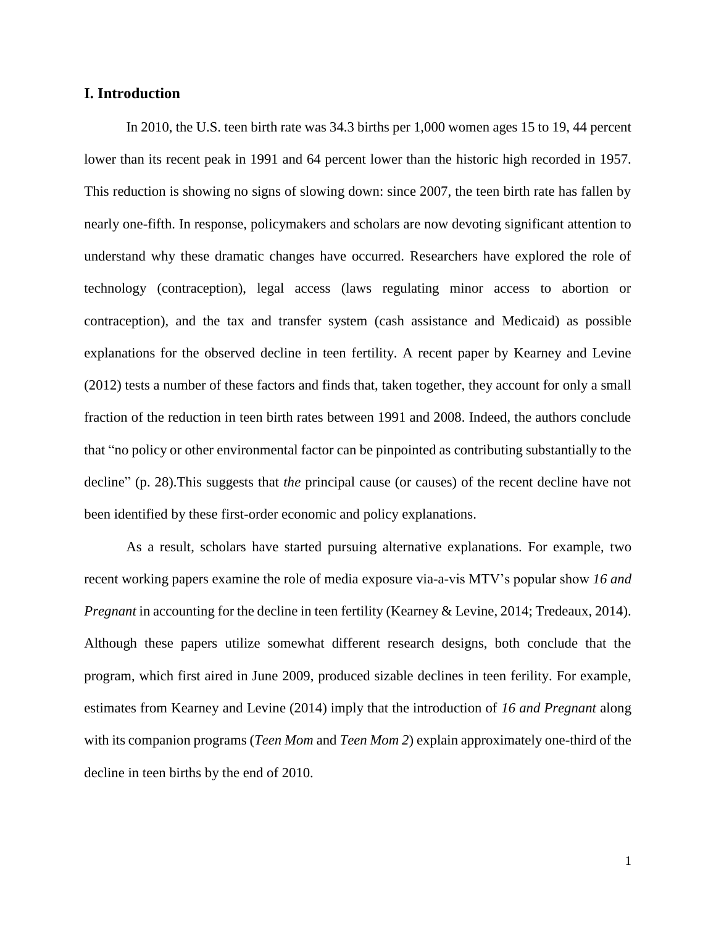#### **I. Introduction**

In 2010, the U.S. teen birth rate was 34.3 births per 1,000 women ages 15 to 19, 44 percent lower than its recent peak in 1991 and 64 percent lower than the historic high recorded in 1957. This reduction is showing no signs of slowing down: since 2007, the teen birth rate has fallen by nearly one-fifth. In response, policymakers and scholars are now devoting significant attention to understand why these dramatic changes have occurred. Researchers have explored the role of technology (contraception), legal access (laws regulating minor access to abortion or contraception), and the tax and transfer system (cash assistance and Medicaid) as possible explanations for the observed decline in teen fertility. A recent paper by Kearney and Levine (2012) tests a number of these factors and finds that, taken together, they account for only a small fraction of the reduction in teen birth rates between 1991 and 2008. Indeed, the authors conclude that "no policy or other environmental factor can be pinpointed as contributing substantially to the decline" (p. 28).This suggests that *the* principal cause (or causes) of the recent decline have not been identified by these first-order economic and policy explanations.

As a result, scholars have started pursuing alternative explanations. For example, two recent working papers examine the role of media exposure via-a-vis MTV's popular show *16 and Pregnant* in accounting for the decline in teen fertility (Kearney & Levine, 2014; Tredeaux, 2014). Although these papers utilize somewhat different research designs, both conclude that the program, which first aired in June 2009, produced sizable declines in teen ferility. For example, estimates from Kearney and Levine (2014) imply that the introduction of *16 and Pregnant* along with its companion programs (*Teen Mom* and *Teen Mom 2*) explain approximately one-third of the decline in teen births by the end of 2010.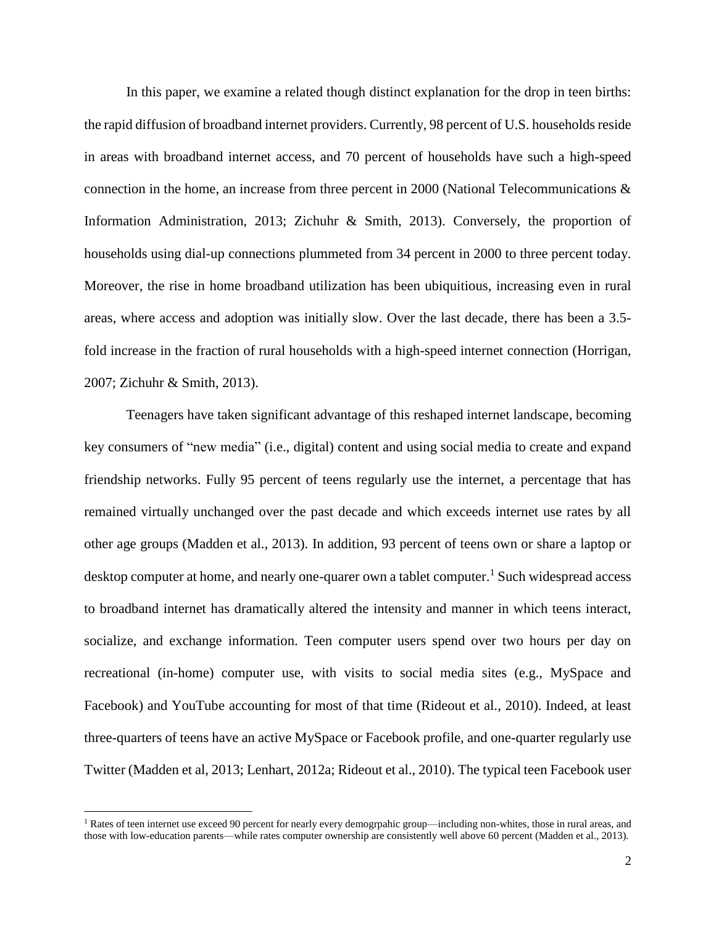In this paper, we examine a related though distinct explanation for the drop in teen births: the rapid diffusion of broadband internet providers. Currently, 98 percent of U.S. households reside in areas with broadband internet access, and 70 percent of households have such a high-speed connection in the home, an increase from three percent in 2000 (National Telecommunications  $\&$ Information Administration, 2013; Zichuhr & Smith, 2013). Conversely, the proportion of households using dial-up connections plummeted from 34 percent in 2000 to three percent today. Moreover, the rise in home broadband utilization has been ubiquitious, increasing even in rural areas, where access and adoption was initially slow. Over the last decade, there has been a 3.5 fold increase in the fraction of rural households with a high-speed internet connection (Horrigan, 2007; Zichuhr & Smith, 2013).

Teenagers have taken significant advantage of this reshaped internet landscape, becoming key consumers of "new media" (i.e., digital) content and using social media to create and expand friendship networks. Fully 95 percent of teens regularly use the internet, a percentage that has remained virtually unchanged over the past decade and which exceeds internet use rates by all other age groups (Madden et al., 2013). In addition, 93 percent of teens own or share a laptop or desktop computer at home, and nearly one-quarer own a tablet computer.<sup>1</sup> Such widespread access to broadband internet has dramatically altered the intensity and manner in which teens interact, socialize, and exchange information. Teen computer users spend over two hours per day on recreational (in-home) computer use, with visits to social media sites (e.g., MySpace and Facebook) and YouTube accounting for most of that time (Rideout et al., 2010). Indeed, at least three-quarters of teens have an active MySpace or Facebook profile, and one-quarter regularly use Twitter (Madden et al, 2013; Lenhart, 2012a; Rideout et al., 2010). The typical teen Facebook user

 $\overline{a}$ 

 $1$  Rates of teen internet use exceed 90 percent for nearly every demogrpahic group—including non-whites, those in rural areas, and those with low-education parents—while rates computer ownership are consistently well above 60 percent (Madden et al., 2013).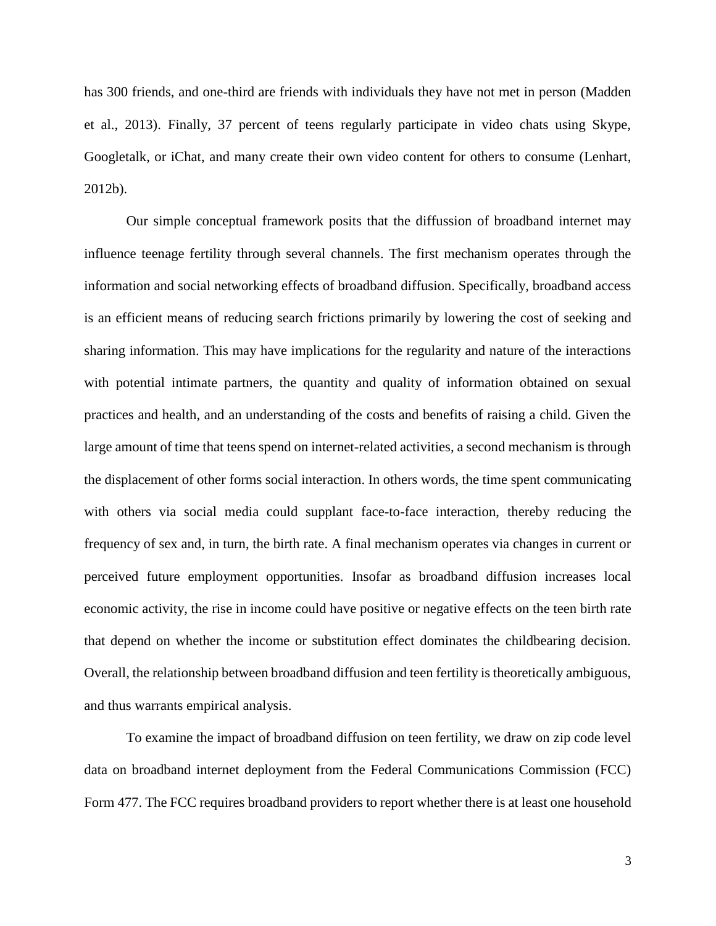has 300 friends, and one-third are friends with individuals they have not met in person (Madden et al., 2013). Finally, 37 percent of teens regularly participate in video chats using Skype, Googletalk, or iChat, and many create their own video content for others to consume (Lenhart, 2012b).

Our simple conceptual framework posits that the diffussion of broadband internet may influence teenage fertility through several channels. The first mechanism operates through the information and social networking effects of broadband diffusion. Specifically, broadband access is an efficient means of reducing search frictions primarily by lowering the cost of seeking and sharing information. This may have implications for the regularity and nature of the interactions with potential intimate partners, the quantity and quality of information obtained on sexual practices and health, and an understanding of the costs and benefits of raising a child. Given the large amount of time that teens spend on internet-related activities, a second mechanism is through the displacement of other forms social interaction. In others words, the time spent communicating with others via social media could supplant face-to-face interaction, thereby reducing the frequency of sex and, in turn, the birth rate. A final mechanism operates via changes in current or perceived future employment opportunities. Insofar as broadband diffusion increases local economic activity, the rise in income could have positive or negative effects on the teen birth rate that depend on whether the income or substitution effect dominates the childbearing decision. Overall, the relationship between broadband diffusion and teen fertility is theoretically ambiguous, and thus warrants empirical analysis.

To examine the impact of broadband diffusion on teen fertility, we draw on zip code level data on broadband internet deployment from the Federal Communications Commission (FCC) Form 477. The FCC requires broadband providers to report whether there is at least one household

3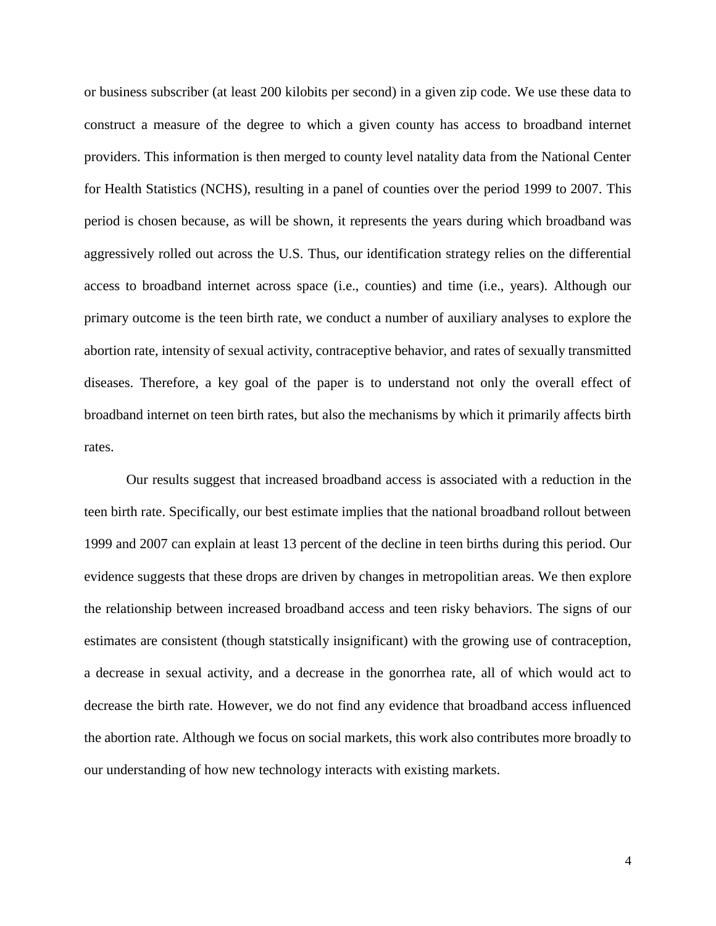or business subscriber (at least 200 kilobits per second) in a given zip code. We use these data to construct a measure of the degree to which a given county has access to broadband internet providers. This information is then merged to county level natality data from the National Center for Health Statistics (NCHS), resulting in a panel of counties over the period 1999 to 2007. This period is chosen because, as will be shown, it represents the years during which broadband was aggressively rolled out across the U.S. Thus, our identification strategy relies on the differential access to broadband internet across space (i.e., counties) and time (i.e., years). Although our primary outcome is the teen birth rate, we conduct a number of auxiliary analyses to explore the abortion rate, intensity of sexual activity, contraceptive behavior, and rates of sexually transmitted diseases. Therefore, a key goal of the paper is to understand not only the overall effect of broadband internet on teen birth rates, but also the mechanisms by which it primarily affects birth rates.

Our results suggest that increased broadband access is associated with a reduction in the teen birth rate. Specifically, our best estimate implies that the national broadband rollout between 1999 and 2007 can explain at least 13 percent of the decline in teen births during this period. Our evidence suggests that these drops are driven by changes in metropolitian areas. We then explore the relationship between increased broadband access and teen risky behaviors. The signs of our estimates are consistent (though statstically insignificant) with the growing use of contraception, a decrease in sexual activity, and a decrease in the gonorrhea rate, all of which would act to decrease the birth rate. However, we do not find any evidence that broadband access influenced the abortion rate. Although we focus on social markets, this work also contributes more broadly to our understanding of how new technology interacts with existing markets.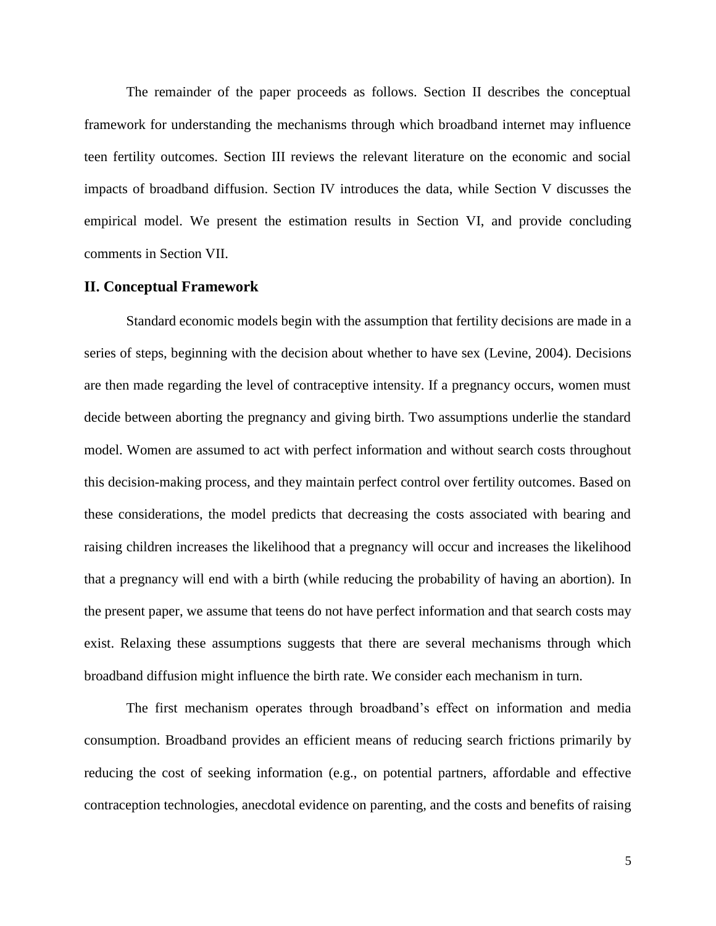The remainder of the paper proceeds as follows. Section II describes the conceptual framework for understanding the mechanisms through which broadband internet may influence teen fertility outcomes. Section III reviews the relevant literature on the economic and social impacts of broadband diffusion. Section IV introduces the data, while Section V discusses the empirical model. We present the estimation results in Section VI, and provide concluding comments in Section VII.

#### **II. Conceptual Framework**

Standard economic models begin with the assumption that fertility decisions are made in a series of steps, beginning with the decision about whether to have sex (Levine, 2004). Decisions are then made regarding the level of contraceptive intensity. If a pregnancy occurs, women must decide between aborting the pregnancy and giving birth. Two assumptions underlie the standard model. Women are assumed to act with perfect information and without search costs throughout this decision-making process, and they maintain perfect control over fertility outcomes. Based on these considerations, the model predicts that decreasing the costs associated with bearing and raising children increases the likelihood that a pregnancy will occur and increases the likelihood that a pregnancy will end with a birth (while reducing the probability of having an abortion). In the present paper, we assume that teens do not have perfect information and that search costs may exist. Relaxing these assumptions suggests that there are several mechanisms through which broadband diffusion might influence the birth rate. We consider each mechanism in turn.

The first mechanism operates through broadband's effect on information and media consumption. Broadband provides an efficient means of reducing search frictions primarily by reducing the cost of seeking information (e.g., on potential partners, affordable and effective contraception technologies, anecdotal evidence on parenting, and the costs and benefits of raising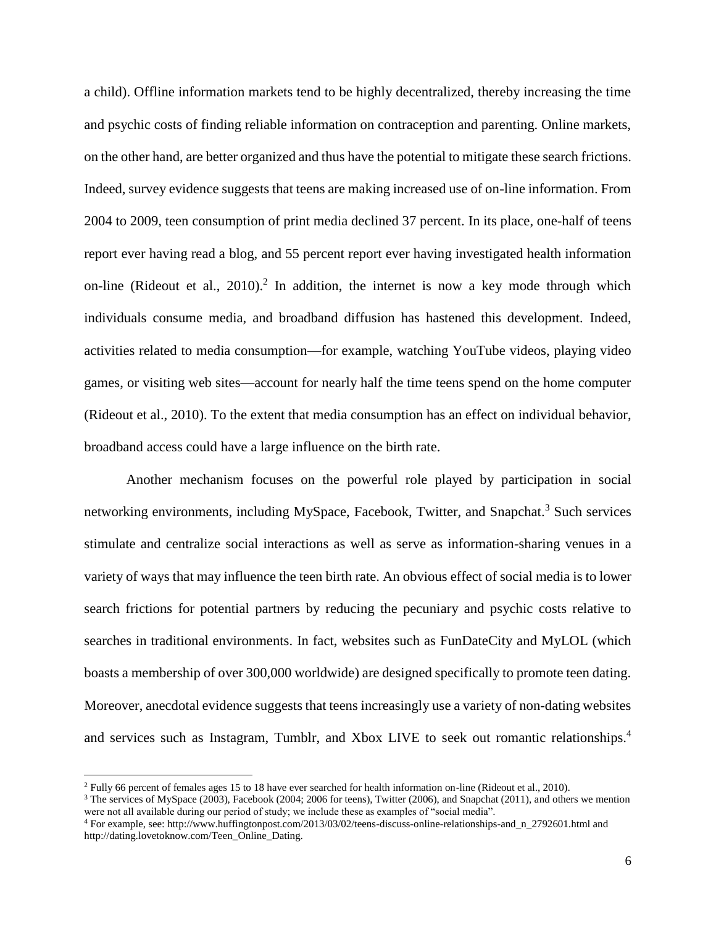a child). Offline information markets tend to be highly decentralized, thereby increasing the time and psychic costs of finding reliable information on contraception and parenting. Online markets, on the other hand, are better organized and thus have the potential to mitigate these search frictions. Indeed, survey evidence suggests that teens are making increased use of on-line information. From 2004 to 2009, teen consumption of print media declined 37 percent. In its place, one-half of teens report ever having read a blog, and 55 percent report ever having investigated health information on-line (Rideout et al.,  $2010$ ).<sup>2</sup> In addition, the internet is now a key mode through which individuals consume media, and broadband diffusion has hastened this development. Indeed, activities related to media consumption—for example, watching YouTube videos, playing video games, or visiting web sites—account for nearly half the time teens spend on the home computer (Rideout et al., 2010). To the extent that media consumption has an effect on individual behavior, broadband access could have a large influence on the birth rate.

Another mechanism focuses on the powerful role played by participation in social networking environments, including MySpace, Facebook, Twitter, and Snapchat.<sup>3</sup> Such services stimulate and centralize social interactions as well as serve as information-sharing venues in a variety of ways that may influence the teen birth rate. An obvious effect of social media is to lower search frictions for potential partners by reducing the pecuniary and psychic costs relative to searches in traditional environments. In fact, websites such as FunDateCity and MyLOL (which boasts a membership of over 300,000 worldwide) are designed specifically to promote teen dating. Moreover, anecdotal evidence suggests that teens increasingly use a variety of non-dating websites and services such as Instagram, Tumblr, and Xbox LIVE to seek out romantic relationships.<sup>4</sup>

l

<sup>2</sup> Fully 66 percent of females ages 15 to 18 have ever searched for health information on-line (Rideout et al., 2010).

 $3$  The services of MySpace (2003), Facebook (2004; 2006 for teens), Twitter (2006), and Snapchat (2011), and others we mention were not all available during our period of study; we include these as examples of "social media".

<sup>4</sup> For example, see: http://www.huffingtonpost.com/2013/03/02/teens-discuss-online-relationships-and\_n\_2792601.html and http://dating.lovetoknow.com/Teen\_Online\_Dating.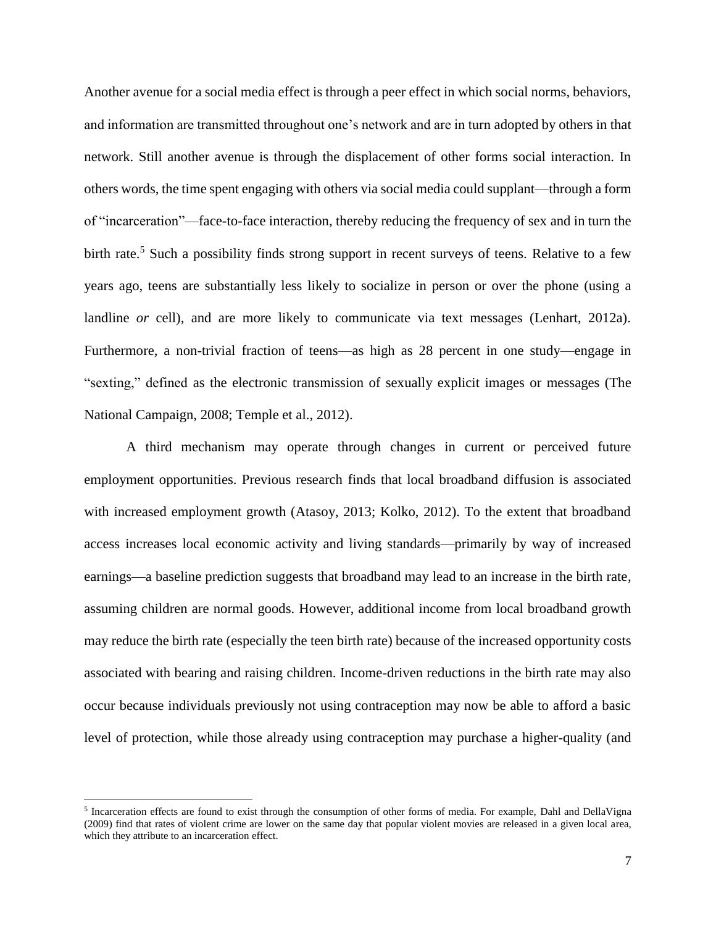Another avenue for a social media effect is through a peer effect in which social norms, behaviors, and information are transmitted throughout one's network and are in turn adopted by others in that network. Still another avenue is through the displacement of other forms social interaction. In others words, the time spent engaging with others via social media could supplant—through a form of "incarceration"—face-to-face interaction, thereby reducing the frequency of sex and in turn the birth rate.<sup>5</sup> Such a possibility finds strong support in recent surveys of teens. Relative to a few years ago, teens are substantially less likely to socialize in person or over the phone (using a landline *or* cell), and are more likely to communicate via text messages (Lenhart, 2012a). Furthermore, a non-trivial fraction of teens—as high as 28 percent in one study—engage in "sexting," defined as the electronic transmission of sexually explicit images or messages (The National Campaign, 2008; Temple et al., 2012).

A third mechanism may operate through changes in current or perceived future employment opportunities. Previous research finds that local broadband diffusion is associated with increased employment growth (Atasoy, 2013; Kolko, 2012). To the extent that broadband access increases local economic activity and living standards—primarily by way of increased earnings—a baseline prediction suggests that broadband may lead to an increase in the birth rate, assuming children are normal goods. However, additional income from local broadband growth may reduce the birth rate (especially the teen birth rate) because of the increased opportunity costs associated with bearing and raising children. Income-driven reductions in the birth rate may also occur because individuals previously not using contraception may now be able to afford a basic level of protection, while those already using contraception may purchase a higher-quality (and

l

<sup>&</sup>lt;sup>5</sup> Incarceration effects are found to exist through the consumption of other forms of media. For example, Dahl and DellaVigna (2009) find that rates of violent crime are lower on the same day that popular violent movies are released in a given local area, which they attribute to an incarceration effect.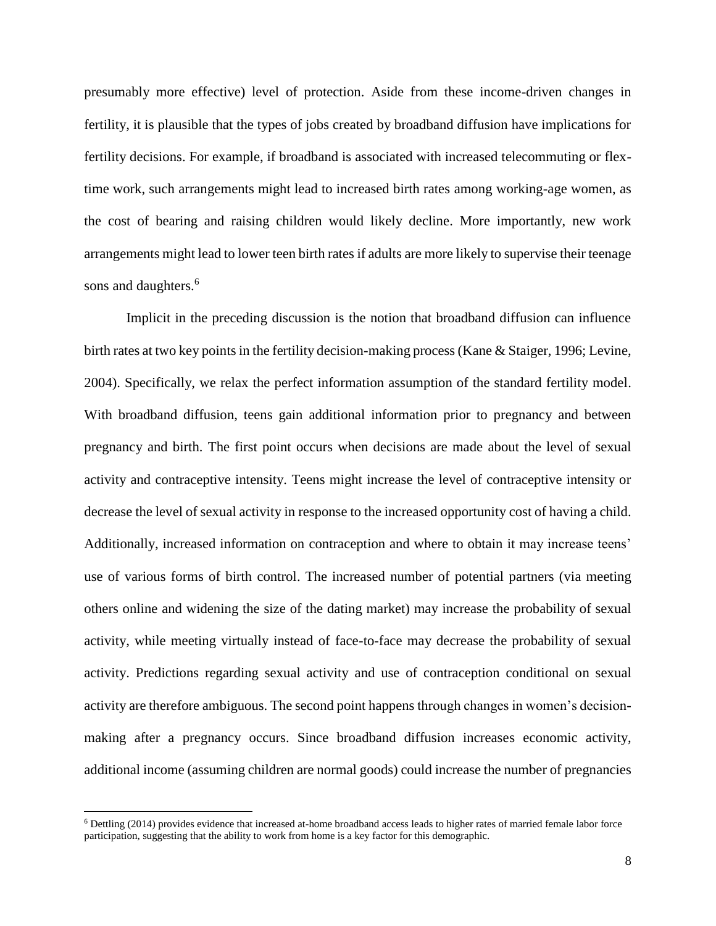presumably more effective) level of protection. Aside from these income-driven changes in fertility, it is plausible that the types of jobs created by broadband diffusion have implications for fertility decisions. For example, if broadband is associated with increased telecommuting or flextime work, such arrangements might lead to increased birth rates among working-age women, as the cost of bearing and raising children would likely decline. More importantly, new work arrangements might lead to lower teen birth rates if adults are more likely to supervise their teenage sons and daughters.<sup>6</sup>

Implicit in the preceding discussion is the notion that broadband diffusion can influence birth rates at two key points in the fertility decision-making process (Kane & Staiger, 1996; Levine, 2004). Specifically, we relax the perfect information assumption of the standard fertility model. With broadband diffusion, teens gain additional information prior to pregnancy and between pregnancy and birth. The first point occurs when decisions are made about the level of sexual activity and contraceptive intensity. Teens might increase the level of contraceptive intensity or decrease the level of sexual activity in response to the increased opportunity cost of having a child. Additionally, increased information on contraception and where to obtain it may increase teens' use of various forms of birth control. The increased number of potential partners (via meeting others online and widening the size of the dating market) may increase the probability of sexual activity, while meeting virtually instead of face-to-face may decrease the probability of sexual activity. Predictions regarding sexual activity and use of contraception conditional on sexual activity are therefore ambiguous. The second point happens through changes in women's decisionmaking after a pregnancy occurs. Since broadband diffusion increases economic activity, additional income (assuming children are normal goods) could increase the number of pregnancies

 $\overline{a}$ 

<sup>6</sup> Dettling (2014) provides evidence that increased at-home broadband access leads to higher rates of married female labor force participation, suggesting that the ability to work from home is a key factor for this demographic.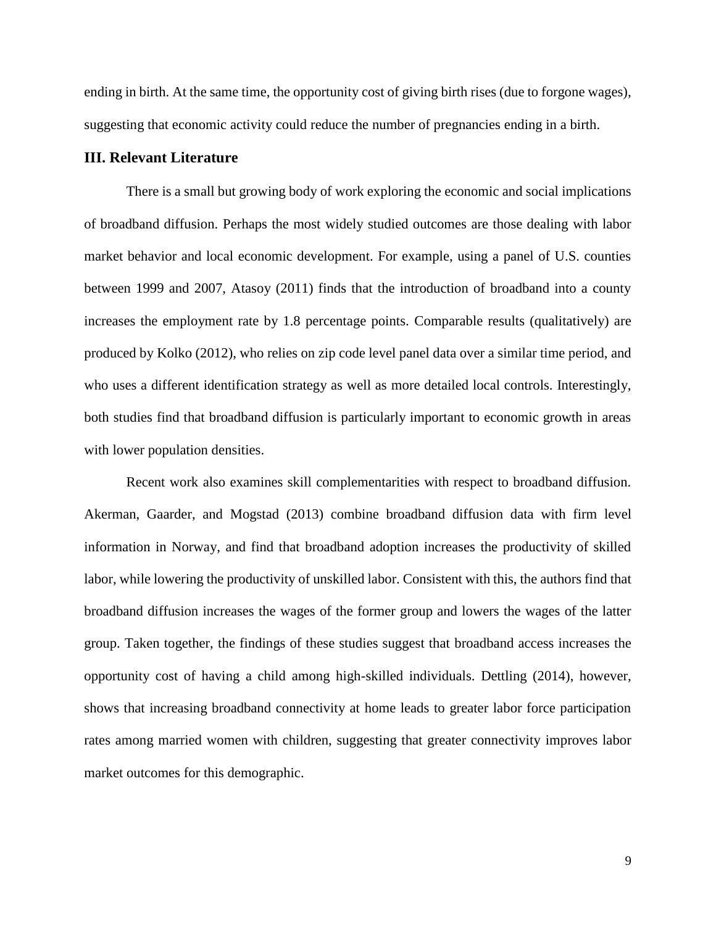ending in birth. At the same time, the opportunity cost of giving birth rises (due to forgone wages), suggesting that economic activity could reduce the number of pregnancies ending in a birth.

#### **III. Relevant Literature**

There is a small but growing body of work exploring the economic and social implications of broadband diffusion. Perhaps the most widely studied outcomes are those dealing with labor market behavior and local economic development. For example, using a panel of U.S. counties between 1999 and 2007, Atasoy (2011) finds that the introduction of broadband into a county increases the employment rate by 1.8 percentage points. Comparable results (qualitatively) are produced by Kolko (2012), who relies on zip code level panel data over a similar time period, and who uses a different identification strategy as well as more detailed local controls. Interestingly, both studies find that broadband diffusion is particularly important to economic growth in areas with lower population densities.

Recent work also examines skill complementarities with respect to broadband diffusion. Akerman, Gaarder, and Mogstad (2013) combine broadband diffusion data with firm level information in Norway, and find that broadband adoption increases the productivity of skilled labor, while lowering the productivity of unskilled labor. Consistent with this, the authors find that broadband diffusion increases the wages of the former group and lowers the wages of the latter group. Taken together, the findings of these studies suggest that broadband access increases the opportunity cost of having a child among high-skilled individuals. Dettling (2014), however, shows that increasing broadband connectivity at home leads to greater labor force participation rates among married women with children, suggesting that greater connectivity improves labor market outcomes for this demographic.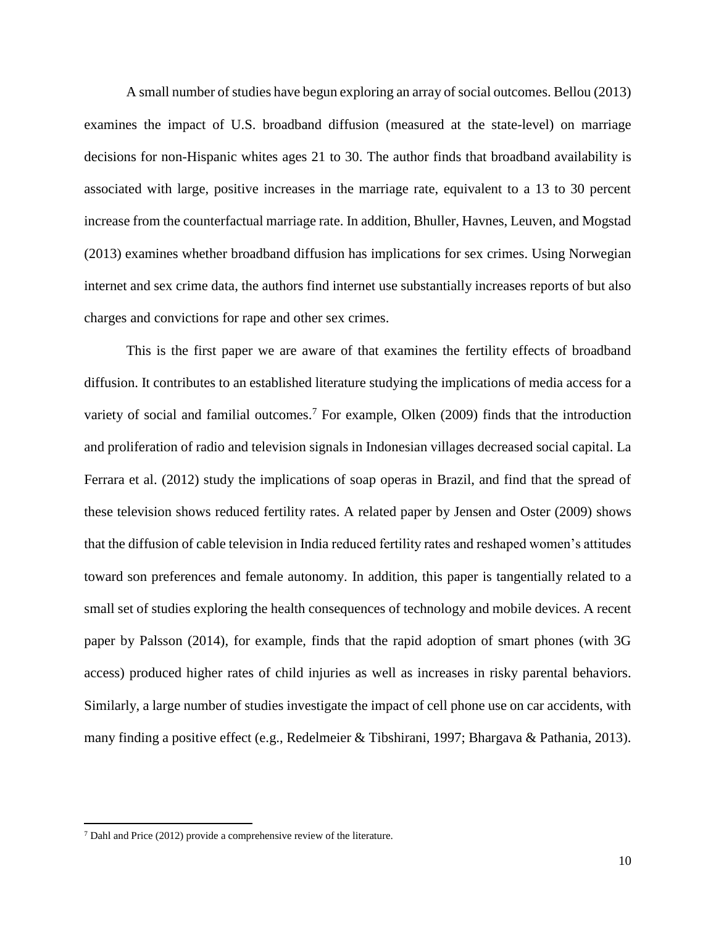A small number of studies have begun exploring an array of social outcomes. Bellou (2013) examines the impact of U.S. broadband diffusion (measured at the state-level) on marriage decisions for non-Hispanic whites ages 21 to 30. The author finds that broadband availability is associated with large, positive increases in the marriage rate, equivalent to a 13 to 30 percent increase from the counterfactual marriage rate. In addition, Bhuller, Havnes, Leuven, and Mogstad (2013) examines whether broadband diffusion has implications for sex crimes. Using Norwegian internet and sex crime data, the authors find internet use substantially increases reports of but also charges and convictions for rape and other sex crimes.

This is the first paper we are aware of that examines the fertility effects of broadband diffusion. It contributes to an established literature studying the implications of media access for a variety of social and familial outcomes.<sup>7</sup> For example, Olken  $(2009)$  finds that the introduction and proliferation of radio and television signals in Indonesian villages decreased social capital. La Ferrara et al. (2012) study the implications of soap operas in Brazil, and find that the spread of these television shows reduced fertility rates. A related paper by Jensen and Oster (2009) shows that the diffusion of cable television in India reduced fertility rates and reshaped women's attitudes toward son preferences and female autonomy. In addition, this paper is tangentially related to a small set of studies exploring the health consequences of technology and mobile devices. A recent paper by Palsson (2014), for example, finds that the rapid adoption of smart phones (with 3G access) produced higher rates of child injuries as well as increases in risky parental behaviors. Similarly, a large number of studies investigate the impact of cell phone use on car accidents, with many finding a positive effect (e.g., Redelmeier & Tibshirani, 1997; Bhargava & Pathania, 2013).

 $\overline{\phantom{a}}$ 

<sup>7</sup> Dahl and Price (2012) provide a comprehensive review of the literature.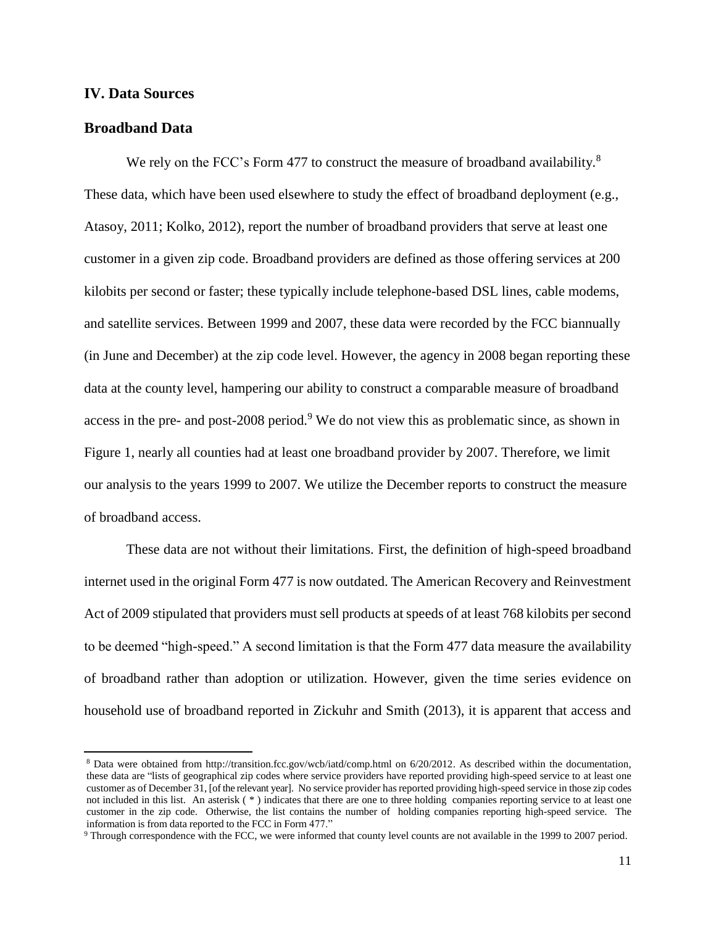#### **IV. Data Sources**

#### **Broadband Data**

 $\overline{\phantom{a}}$ 

We rely on the FCC's Form 477 to construct the measure of broadband availability.<sup>8</sup> These data, which have been used elsewhere to study the effect of broadband deployment (e.g., Atasoy, 2011; Kolko, 2012), report the number of broadband providers that serve at least one customer in a given zip code. Broadband providers are defined as those offering services at 200 kilobits per second or faster; these typically include telephone-based DSL lines, cable modems, and satellite services. Between 1999 and 2007, these data were recorded by the FCC biannually (in June and December) at the zip code level. However, the agency in 2008 began reporting these data at the county level, hampering our ability to construct a comparable measure of broadband access in the pre- and post-2008 period.<sup>9</sup> We do not view this as problematic since, as shown in Figure 1, nearly all counties had at least one broadband provider by 2007. Therefore, we limit our analysis to the years 1999 to 2007. We utilize the December reports to construct the measure of broadband access.

These data are not without their limitations. First, the definition of high-speed broadband internet used in the original Form 477 is now outdated. The American Recovery and Reinvestment Act of 2009 stipulated that providers must sell products at speeds of at least 768 kilobits per second to be deemed "high-speed." A second limitation is that the Form 477 data measure the availability of broadband rather than adoption or utilization. However, given the time series evidence on household use of broadband reported in Zickuhr and Smith (2013), it is apparent that access and

<sup>8</sup> Data were obtained from http://transition.fcc.gov/wcb/iatd/comp.html on 6/20/2012. As described within the documentation, these data are "lists of geographical zip codes where service providers have reported providing high-speed service to at least one customer as of December 31, [of the relevant year]. No service provider hasreported providing high-speed service in those zip codes not included in this list. An asterisk ( \* ) indicates that there are one to three holding companies reporting service to at least one customer in the zip code. Otherwise, the list contains the number of holding companies reporting high-speed service. The information is from data reported to the FCC in Form 477."

<sup>9</sup> Through correspondence with the FCC, we were informed that county level counts are not available in the 1999 to 2007 period.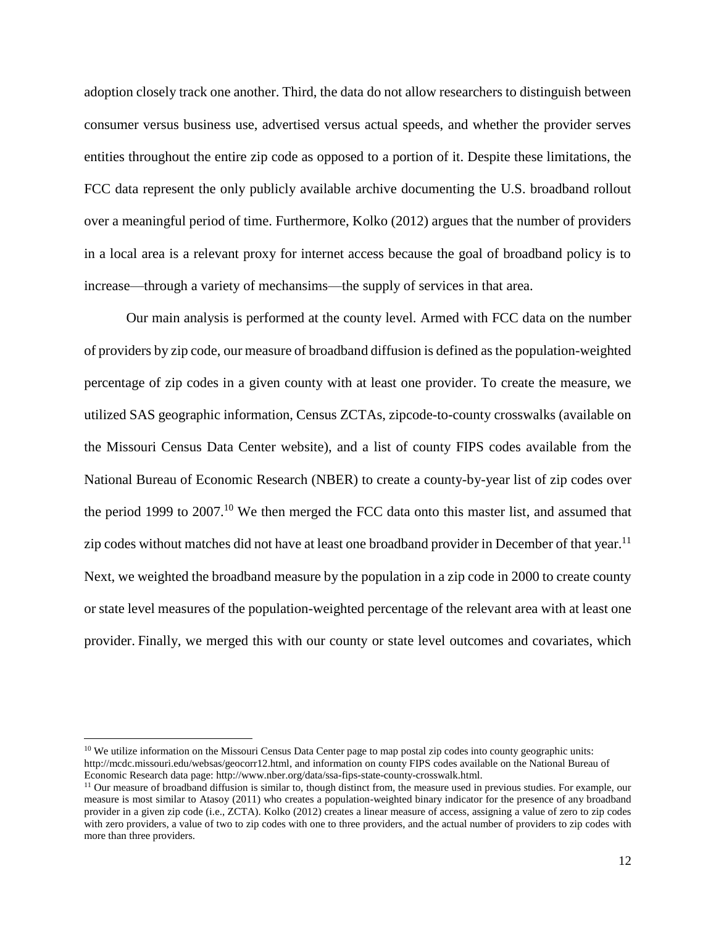adoption closely track one another. Third, the data do not allow researchers to distinguish between consumer versus business use, advertised versus actual speeds, and whether the provider serves entities throughout the entire zip code as opposed to a portion of it. Despite these limitations, the FCC data represent the only publicly available archive documenting the U.S. broadband rollout over a meaningful period of time. Furthermore, Kolko (2012) argues that the number of providers in a local area is a relevant proxy for internet access because the goal of broadband policy is to increase—through a variety of mechansims—the supply of services in that area.

Our main analysis is performed at the county level. Armed with FCC data on the number of providers by zip code, our measure of broadband diffusion is defined as the population-weighted percentage of zip codes in a given county with at least one provider. To create the measure, we utilized SAS geographic information, Census ZCTAs, zipcode-to-county crosswalks (available on the Missouri Census Data Center website), and a list of county FIPS codes available from the National Bureau of Economic Research (NBER) to create a county-by-year list of zip codes over the period 1999 to 2007.<sup>10</sup> We then merged the FCC data onto this master list, and assumed that zip codes without matches did not have at least one broadband provider in December of that year.<sup>11</sup> Next, we weighted the broadband measure by the population in a zip code in 2000 to create county or state level measures of the population-weighted percentage of the relevant area with at least one provider. Finally, we merged this with our county or state level outcomes and covariates, which

 $\overline{\phantom{a}}$ 

<sup>&</sup>lt;sup>10</sup> We utilize information on the Missouri Census Data Center page to map postal zip codes into county geographic units: http://mcdc.missouri.edu/websas/geocorr12.html, and information on county FIPS codes available on the National Bureau of Economic Research data page: http://www.nber.org/data/ssa-fips-state-county-crosswalk.html.

 $11$  Our measure of broadband diffusion is similar to, though distinct from, the measure used in previous studies. For example, our measure is most similar to Atasoy (2011) who creates a population-weighted binary indicator for the presence of any broadband provider in a given zip code (i.e., ZCTA). Kolko (2012) creates a linear measure of access, assigning a value of zero to zip codes with zero providers, a value of two to zip codes with one to three providers, and the actual number of providers to zip codes with more than three providers.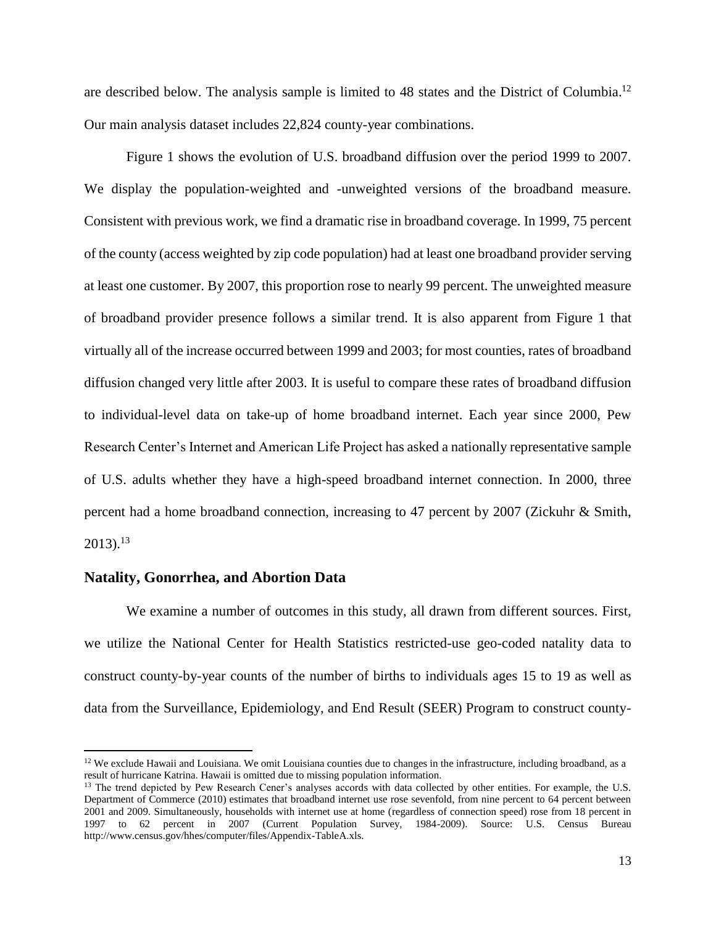are described below. The analysis sample is limited to 48 states and the District of Columbia.<sup>12</sup> Our main analysis dataset includes 22,824 county-year combinations.

Figure 1 shows the evolution of U.S. broadband diffusion over the period 1999 to 2007. We display the population-weighted and -unweighted versions of the broadband measure. Consistent with previous work, we find a dramatic rise in broadband coverage. In 1999, 75 percent of the county (access weighted by zip code population) had at least one broadband provider serving at least one customer. By 2007, this proportion rose to nearly 99 percent. The unweighted measure of broadband provider presence follows a similar trend. It is also apparent from Figure 1 that virtually all of the increase occurred between 1999 and 2003; for most counties, rates of broadband diffusion changed very little after 2003. It is useful to compare these rates of broadband diffusion to individual-level data on take-up of home broadband internet. Each year since 2000, Pew Research Center's Internet and American Life Project has asked a nationally representative sample of U.S. adults whether they have a high-speed broadband internet connection. In 2000, three percent had a home broadband connection, increasing to 47 percent by 2007 (Zickuhr & Smith,  $2013$ ).<sup>13</sup>

#### **Natality, Gonorrhea, and Abortion Data**

 $\overline{a}$ 

We examine a number of outcomes in this study, all drawn from different sources. First, we utilize the National Center for Health Statistics restricted-use geo-coded natality data to construct county-by-year counts of the number of births to individuals ages 15 to 19 as well as data from the Surveillance, Epidemiology, and End Result (SEER) Program to construct county-

 $12$  We exclude Hawaii and Louisiana. We omit Louisiana counties due to changes in the infrastructure, including broadband, as a result of hurricane Katrina. Hawaii is omitted due to missing population information.

<sup>&</sup>lt;sup>13</sup> The trend depicted by Pew Research Cener's analyses accords with data collected by other entities. For example, the U.S. Department of Commerce (2010) estimates that broadband internet use rose sevenfold, from nine percent to 64 percent between 2001 and 2009. Simultaneously, households with internet use at home (regardless of connection speed) rose from 18 percent in 1997 to 62 percent in 2007 (Current Population Survey, 1984-2009). Source: U.S. Census Bureau http://www.census.gov/hhes/computer/files/Appendix-TableA.xls.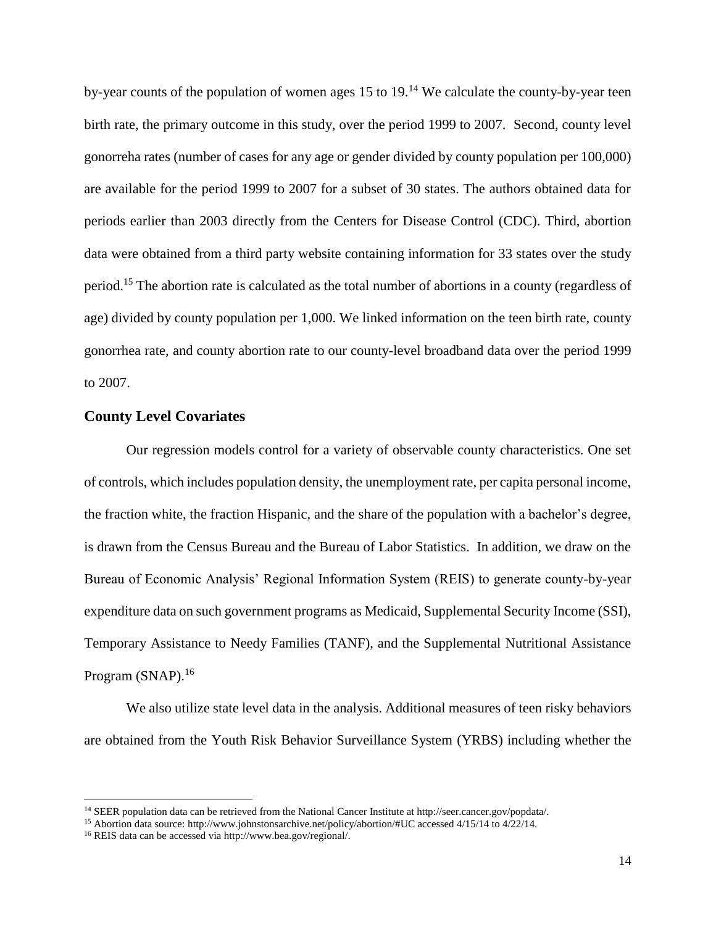by-year counts of the population of women ages 15 to 19.<sup>14</sup> We calculate the county-by-year teen birth rate, the primary outcome in this study, over the period 1999 to 2007. Second, county level gonorreha rates (number of cases for any age or gender divided by county population per 100,000) are available for the period 1999 to 2007 for a subset of 30 states. The authors obtained data for periods earlier than 2003 directly from the Centers for Disease Control (CDC). Third, abortion data were obtained from a third party website containing information for 33 states over the study period.<sup>15</sup> The abortion rate is calculated as the total number of abortions in a county (regardless of age) divided by county population per 1,000. We linked information on the teen birth rate, county gonorrhea rate, and county abortion rate to our county-level broadband data over the period 1999 to 2007.

#### **County Level Covariates**

Our regression models control for a variety of observable county characteristics. One set of controls, which includes population density, the unemployment rate, per capita personal income, the fraction white, the fraction Hispanic, and the share of the population with a bachelor's degree, is drawn from the Census Bureau and the Bureau of Labor Statistics. In addition, we draw on the Bureau of Economic Analysis' Regional Information System (REIS) to generate county-by-year expenditure data on such government programs as Medicaid, Supplemental Security Income (SSI), Temporary Assistance to Needy Families (TANF), and the Supplemental Nutritional Assistance Program (SNAP).<sup>16</sup>

We also utilize state level data in the analysis. Additional measures of teen risky behaviors are obtained from the Youth Risk Behavior Surveillance System (YRBS) including whether the

l

<sup>14</sup> SEER population data can be retrieved from the National Cancer Institute at http://seer.cancer.gov/popdata/.

<sup>&</sup>lt;sup>15</sup> Abortion data source: http://www.johnstonsarchive.net/policy/abortion/#UC accessed 4/15/14 to 4/22/14.

<sup>16</sup> REIS data can be accessed via http://www.bea.gov/regional/.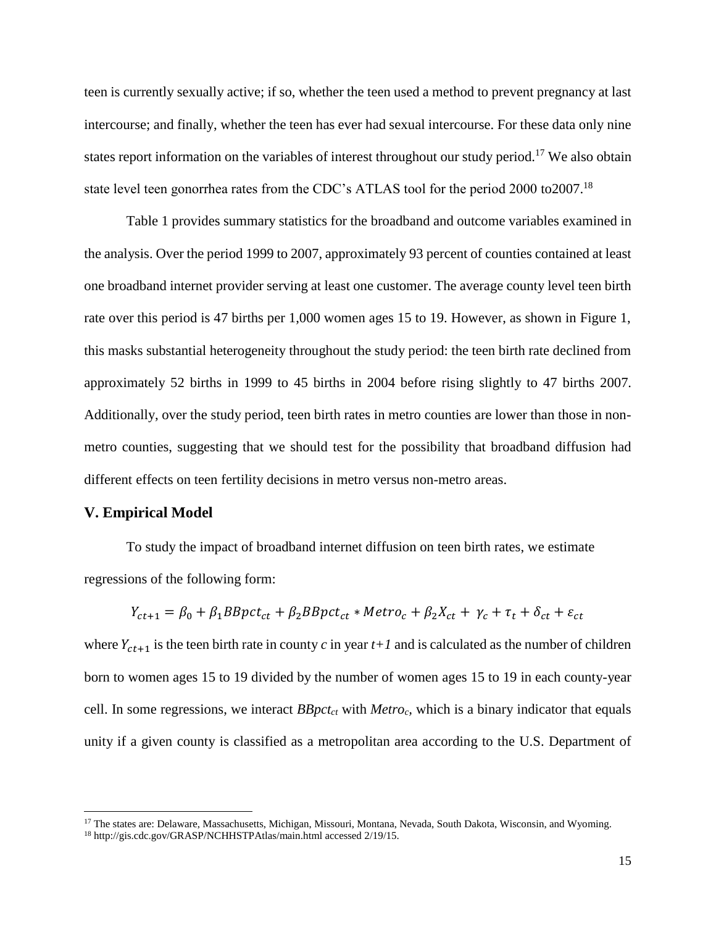teen is currently sexually active; if so, whether the teen used a method to prevent pregnancy at last intercourse; and finally, whether the teen has ever had sexual intercourse. For these data only nine states report information on the variables of interest throughout our study period.<sup>17</sup> We also obtain state level teen gonorrhea rates from the CDC's ATLAS tool for the period 2000 to 2007.<sup>18</sup>

Table 1 provides summary statistics for the broadband and outcome variables examined in the analysis. Over the period 1999 to 2007, approximately 93 percent of counties contained at least one broadband internet provider serving at least one customer. The average county level teen birth rate over this period is 47 births per 1,000 women ages 15 to 19. However, as shown in Figure 1, this masks substantial heterogeneity throughout the study period: the teen birth rate declined from approximately 52 births in 1999 to 45 births in 2004 before rising slightly to 47 births 2007. Additionally, over the study period, teen birth rates in metro counties are lower than those in nonmetro counties, suggesting that we should test for the possibility that broadband diffusion had different effects on teen fertility decisions in metro versus non-metro areas.

#### **V. Empirical Model**

 $\overline{a}$ 

To study the impact of broadband internet diffusion on teen birth rates, we estimate regressions of the following form:

$$
Y_{ct+1} = \beta_0 + \beta_1 BBpct_{ct} + \beta_2 BBpct_{ct} * Metro_c + \beta_2 X_{ct} + \gamma_c + \tau_t + \delta_{ct} + \varepsilon_{ct}
$$

where  $Y_{ct+1}$  is the teen birth rate in county *c* in year  $t+1$  and is calculated as the number of children born to women ages 15 to 19 divided by the number of women ages 15 to 19 in each county-year cell. In some regressions, we interact *BBpctct* with *Metroc,* which is a binary indicator that equals unity if a given county is classified as a metropolitan area according to the U.S. Department of

<sup>&</sup>lt;sup>17</sup> The states are: Delaware, Massachusetts, Michigan, Missouri, Montana, Nevada, South Dakota, Wisconsin, and Wyoming. <sup>18</sup> http://gis.cdc.gov/GRASP/NCHHSTPAtlas/main.html accessed 2/19/15.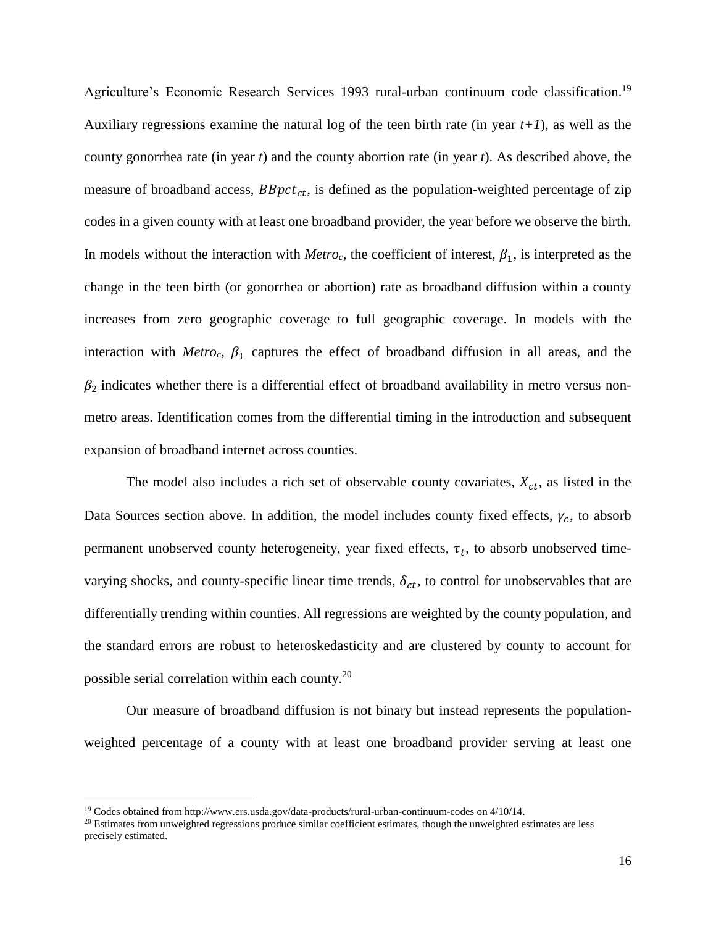Agriculture's Economic Research Services 1993 rural-urban continuum code classification.<sup>19</sup> Auxiliary regressions examine the natural log of the teen birth rate (in year *t+1*), as well as the county gonorrhea rate (in year *t*) and the county abortion rate (in year *t*). As described above, the measure of broadband access,  $BBpct_{ct}$ , is defined as the population-weighted percentage of zip codes in a given county with at least one broadband provider, the year before we observe the birth. In models without the interaction with  $Metro<sub>c</sub>$ , the coefficient of interest,  $\beta_1$ , is interpreted as the change in the teen birth (or gonorrhea or abortion) rate as broadband diffusion within a county increases from zero geographic coverage to full geographic coverage. In models with the interaction with *Metroc*,  $\beta_1$  captures the effect of broadband diffusion in all areas, and the  $\beta_2$  indicates whether there is a differential effect of broadband availability in metro versus nonmetro areas. Identification comes from the differential timing in the introduction and subsequent expansion of broadband internet across counties.

The model also includes a rich set of observable county covariates,  $X_{ct}$ , as listed in the Data Sources section above. In addition, the model includes county fixed effects,  $\gamma_c$ , to absorb permanent unobserved county heterogeneity, year fixed effects,  $\tau_t$ , to absorb unobserved timevarying shocks, and county-specific linear time trends,  $\delta_{ct}$ , to control for unobservables that are differentially trending within counties. All regressions are weighted by the county population, and the standard errors are robust to heteroskedasticity and are clustered by county to account for possible serial correlation within each county.<sup>20</sup>

Our measure of broadband diffusion is not binary but instead represents the populationweighted percentage of a county with at least one broadband provider serving at least one

l

<sup>19</sup> Codes obtained from http://www.ers.usda.gov/data-products/rural-urban-continuum-codes on 4/10/14.

<sup>&</sup>lt;sup>20</sup> Estimates from unweighted regressions produce similar coefficient estimates, though the unweighted estimates are less precisely estimated.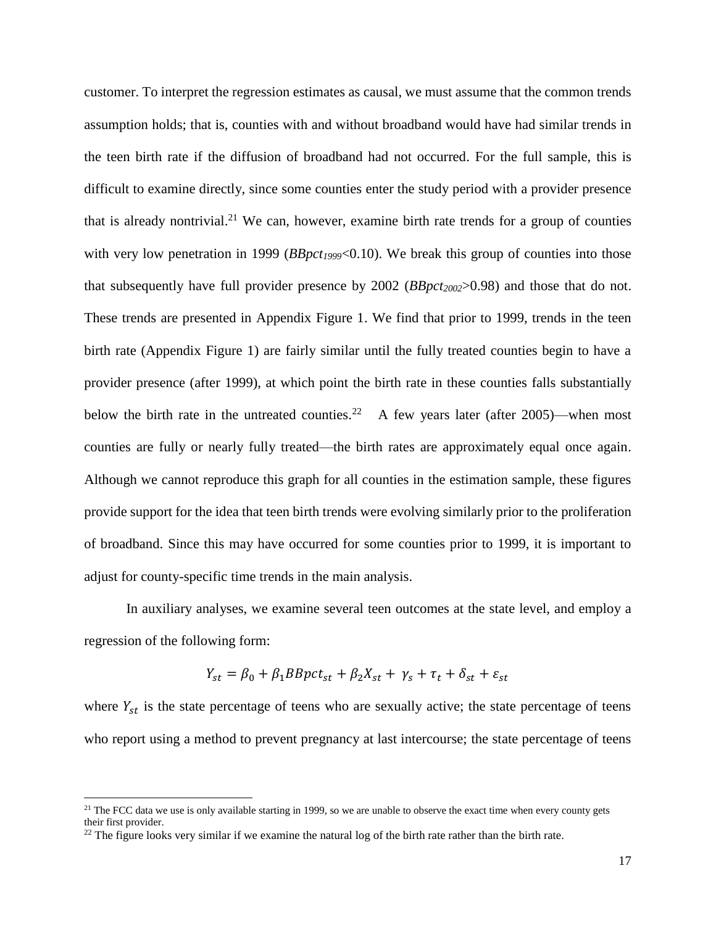customer. To interpret the regression estimates as causal, we must assume that the common trends assumption holds; that is, counties with and without broadband would have had similar trends in the teen birth rate if the diffusion of broadband had not occurred. For the full sample, this is difficult to examine directly, since some counties enter the study period with a provider presence that is already nontrivial.<sup>21</sup> We can, however, examine birth rate trends for a group of counties with very low penetration in 1999 (*BBpct<sub>1999</sub>*<0.10). We break this group of counties into those that subsequently have full provider presence by 2002 (*BBpct2002*>0.98) and those that do not. These trends are presented in Appendix Figure 1. We find that prior to 1999, trends in the teen birth rate (Appendix Figure 1) are fairly similar until the fully treated counties begin to have a provider presence (after 1999), at which point the birth rate in these counties falls substantially below the birth rate in the untreated counties.<sup>22</sup> A few years later (after 2005)—when most counties are fully or nearly fully treated—the birth rates are approximately equal once again. Although we cannot reproduce this graph for all counties in the estimation sample, these figures provide support for the idea that teen birth trends were evolving similarly prior to the proliferation of broadband. Since this may have occurred for some counties prior to 1999, it is important to adjust for county-specific time trends in the main analysis.

In auxiliary analyses, we examine several teen outcomes at the state level, and employ a regression of the following form:

$$
Y_{st} = \beta_0 + \beta_1 BBpct_{st} + \beta_2 X_{st} + \gamma_s + \tau_t + \delta_{st} + \varepsilon_{st}
$$

where  $Y_{st}$  is the state percentage of teens who are sexually active; the state percentage of teens who report using a method to prevent pregnancy at last intercourse; the state percentage of teens

 $\overline{\phantom{a}}$ 

<sup>&</sup>lt;sup>21</sup> The FCC data we use is only available starting in 1999, so we are unable to observe the exact time when every county gets their first provider.

 $22$  The figure looks very similar if we examine the natural log of the birth rate rather than the birth rate.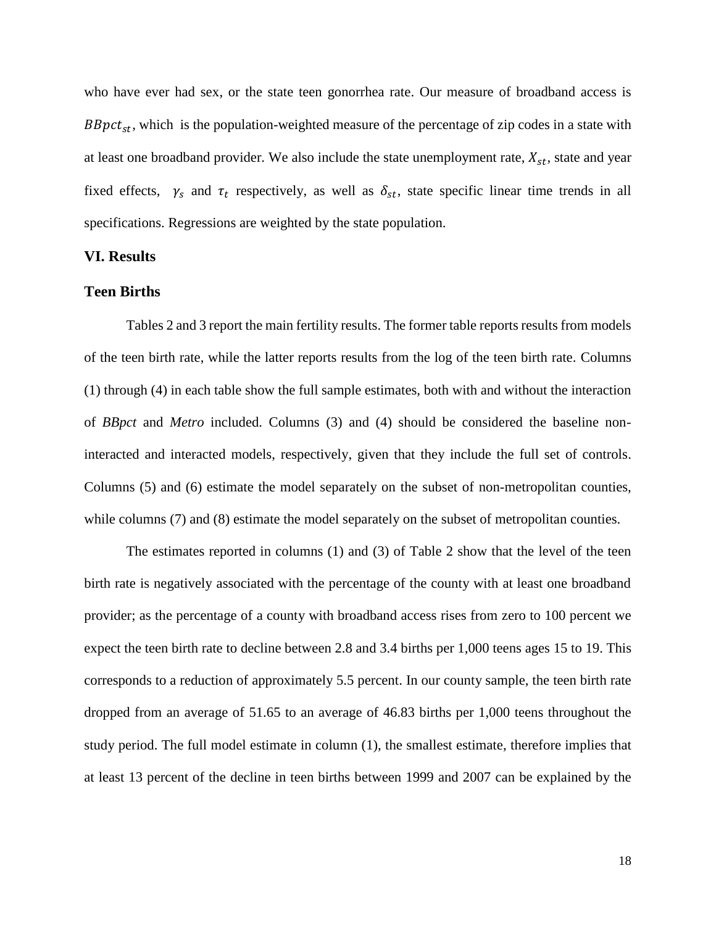who have ever had sex, or the state teen gonorrhea rate. Our measure of broadband access is  $BBpct<sub>st</sub>$ , which is the population-weighted measure of the percentage of zip codes in a state with at least one broadband provider. We also include the state unemployment rate,  $X_{st}$ , state and year fixed effects,  $\gamma_s$  and  $\tau_t$  respectively, as well as  $\delta_{st}$ , state specific linear time trends in all specifications. Regressions are weighted by the state population.

#### **VI. Results**

#### **Teen Births**

Tables 2 and 3 report the main fertility results. The former table reports results from models of the teen birth rate, while the latter reports results from the log of the teen birth rate. Columns (1) through (4) in each table show the full sample estimates, both with and without the interaction of *BBpct* and *Metro* included. Columns (3) and (4) should be considered the baseline noninteracted and interacted models, respectively, given that they include the full set of controls. Columns (5) and (6) estimate the model separately on the subset of non-metropolitan counties, while columns (7) and (8) estimate the model separately on the subset of metropolitan counties.

The estimates reported in columns (1) and (3) of Table 2 show that the level of the teen birth rate is negatively associated with the percentage of the county with at least one broadband provider; as the percentage of a county with broadband access rises from zero to 100 percent we expect the teen birth rate to decline between 2.8 and 3.4 births per 1,000 teens ages 15 to 19. This corresponds to a reduction of approximately 5.5 percent. In our county sample, the teen birth rate dropped from an average of 51.65 to an average of 46.83 births per 1,000 teens throughout the study period. The full model estimate in column (1), the smallest estimate, therefore implies that at least 13 percent of the decline in teen births between 1999 and 2007 can be explained by the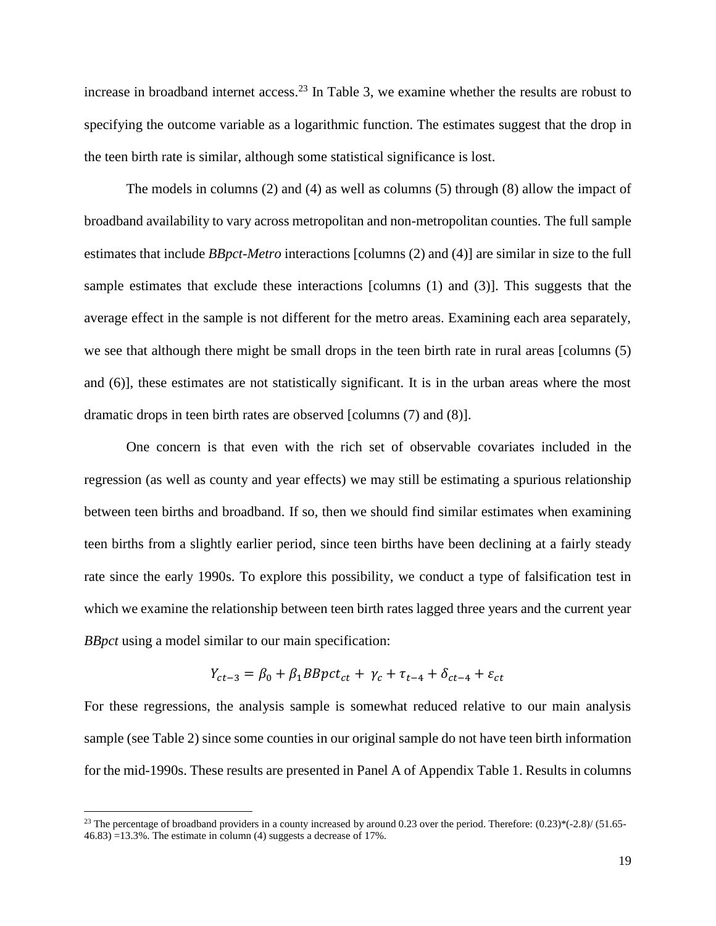increase in broadband internet access.<sup>23</sup> In Table 3, we examine whether the results are robust to specifying the outcome variable as a logarithmic function. The estimates suggest that the drop in the teen birth rate is similar, although some statistical significance is lost.

The models in columns (2) and (4) as well as columns (5) through (8) allow the impact of broadband availability to vary across metropolitan and non-metropolitan counties. The full sample estimates that include *BBpct*-*Metro* interactions [columns (2) and (4)] are similar in size to the full sample estimates that exclude these interactions [columns (1) and (3)]. This suggests that the average effect in the sample is not different for the metro areas. Examining each area separately, we see that although there might be small drops in the teen birth rate in rural areas [columns (5) and (6)], these estimates are not statistically significant. It is in the urban areas where the most dramatic drops in teen birth rates are observed [columns (7) and (8)].

One concern is that even with the rich set of observable covariates included in the regression (as well as county and year effects) we may still be estimating a spurious relationship between teen births and broadband. If so, then we should find similar estimates when examining teen births from a slightly earlier period, since teen births have been declining at a fairly steady rate since the early 1990s. To explore this possibility, we conduct a type of falsification test in which we examine the relationship between teen birth rates lagged three years and the current year *BBpct* using a model similar to our main specification:

$$
Y_{ct-3} = \beta_0 + \beta_1 B B p c t_{ct} + \gamma_c + \tau_{t-4} + \delta_{ct-4} + \varepsilon_{ct}
$$

For these regressions, the analysis sample is somewhat reduced relative to our main analysis sample (see Table 2) since some counties in our original sample do not have teen birth information for the mid-1990s. These results are presented in Panel A of Appendix Table 1. Results in columns

 $\overline{a}$ 

<sup>&</sup>lt;sup>23</sup> The percentage of broadband providers in a county increased by around 0.23 over the period. Therefore:  $(0.23)^*(-2.8)/(51.65-$ 46.83) =13.3%. The estimate in column (4) suggests a decrease of 17%.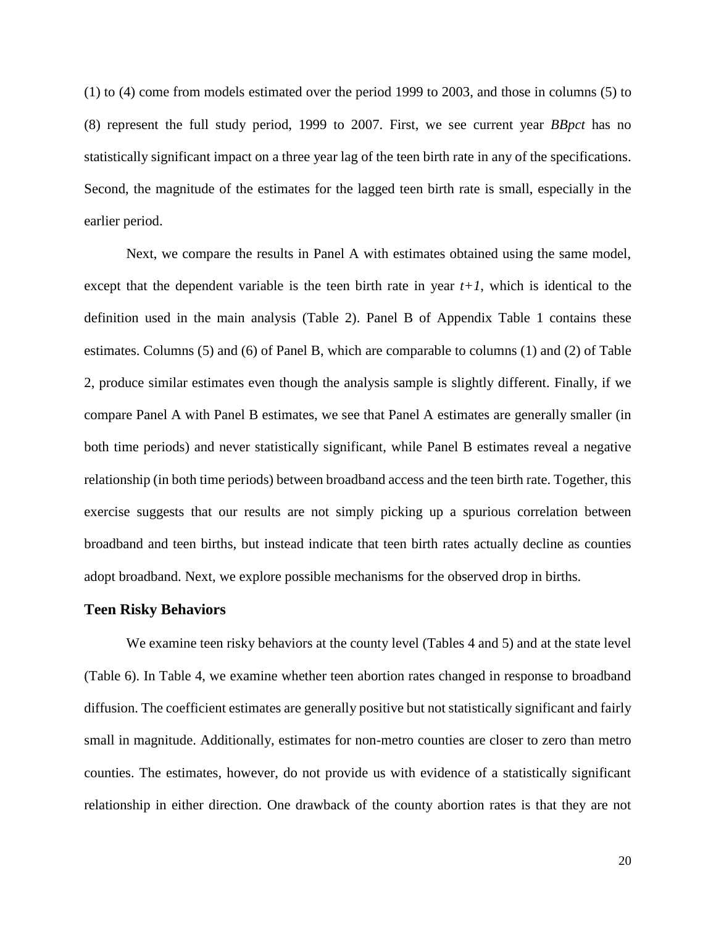(1) to (4) come from models estimated over the period 1999 to 2003, and those in columns (5) to (8) represent the full study period, 1999 to 2007. First, we see current year *BBpct* has no statistically significant impact on a three year lag of the teen birth rate in any of the specifications. Second, the magnitude of the estimates for the lagged teen birth rate is small, especially in the earlier period.

Next, we compare the results in Panel A with estimates obtained using the same model, except that the dependent variable is the teen birth rate in year  $t+1$ , which is identical to the definition used in the main analysis (Table 2). Panel B of Appendix Table 1 contains these estimates. Columns (5) and (6) of Panel B, which are comparable to columns (1) and (2) of Table 2, produce similar estimates even though the analysis sample is slightly different. Finally, if we compare Panel A with Panel B estimates, we see that Panel A estimates are generally smaller (in both time periods) and never statistically significant, while Panel B estimates reveal a negative relationship (in both time periods) between broadband access and the teen birth rate. Together, this exercise suggests that our results are not simply picking up a spurious correlation between broadband and teen births, but instead indicate that teen birth rates actually decline as counties adopt broadband. Next, we explore possible mechanisms for the observed drop in births.

#### **Teen Risky Behaviors**

We examine teen risky behaviors at the county level (Tables 4 and 5) and at the state level (Table 6). In Table 4, we examine whether teen abortion rates changed in response to broadband diffusion. The coefficient estimates are generally positive but not statistically significant and fairly small in magnitude. Additionally, estimates for non-metro counties are closer to zero than metro counties. The estimates, however, do not provide us with evidence of a statistically significant relationship in either direction. One drawback of the county abortion rates is that they are not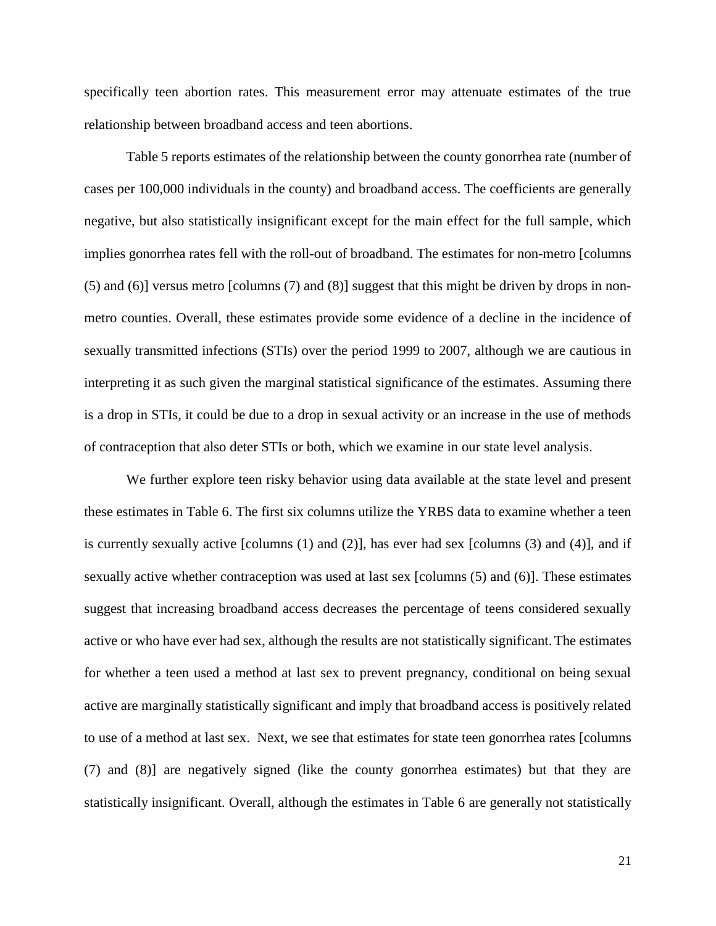specifically teen abortion rates. This measurement error may attenuate estimates of the true relationship between broadband access and teen abortions.

Table 5 reports estimates of the relationship between the county gonorrhea rate (number of cases per 100,000 individuals in the county) and broadband access. The coefficients are generally negative, but also statistically insignificant except for the main effect for the full sample, which implies gonorrhea rates fell with the roll-out of broadband. The estimates for non-metro [columns (5) and (6)] versus metro [columns (7) and (8)] suggest that this might be driven by drops in nonmetro counties. Overall, these estimates provide some evidence of a decline in the incidence of sexually transmitted infections (STIs) over the period 1999 to 2007, although we are cautious in interpreting it as such given the marginal statistical significance of the estimates. Assuming there is a drop in STIs, it could be due to a drop in sexual activity or an increase in the use of methods of contraception that also deter STIs or both, which we examine in our state level analysis.

We further explore teen risky behavior using data available at the state level and present these estimates in Table 6. The first six columns utilize the YRBS data to examine whether a teen is currently sexually active [columns  $(1)$  and  $(2)$ ], has ever had sex [columns  $(3)$  and  $(4)$ ], and if sexually active whether contraception was used at last sex [columns (5) and (6)]. These estimates suggest that increasing broadband access decreases the percentage of teens considered sexually active or who have ever had sex, although the results are not statistically significant.The estimates for whether a teen used a method at last sex to prevent pregnancy, conditional on being sexual active are marginally statistically significant and imply that broadband access is positively related to use of a method at last sex. Next, we see that estimates for state teen gonorrhea rates [columns (7) and (8)] are negatively signed (like the county gonorrhea estimates) but that they are statistically insignificant. Overall, although the estimates in Table 6 are generally not statistically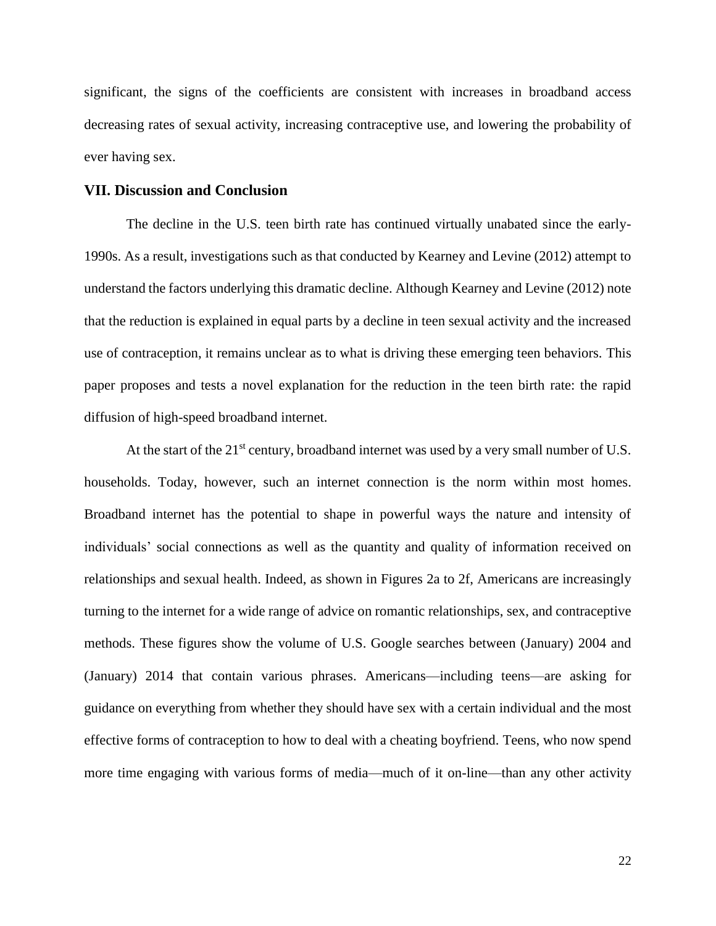significant, the signs of the coefficients are consistent with increases in broadband access decreasing rates of sexual activity, increasing contraceptive use, and lowering the probability of ever having sex.

#### **VII. Discussion and Conclusion**

The decline in the U.S. teen birth rate has continued virtually unabated since the early-1990s. As a result, investigations such as that conducted by Kearney and Levine (2012) attempt to understand the factors underlying this dramatic decline. Although Kearney and Levine (2012) note that the reduction is explained in equal parts by a decline in teen sexual activity and the increased use of contraception, it remains unclear as to what is driving these emerging teen behaviors. This paper proposes and tests a novel explanation for the reduction in the teen birth rate: the rapid diffusion of high-speed broadband internet.

At the start of the  $21^{st}$  century, broadband internet was used by a very small number of U.S. households. Today, however, such an internet connection is the norm within most homes. Broadband internet has the potential to shape in powerful ways the nature and intensity of individuals' social connections as well as the quantity and quality of information received on relationships and sexual health. Indeed, as shown in Figures 2a to 2f, Americans are increasingly turning to the internet for a wide range of advice on romantic relationships, sex, and contraceptive methods. These figures show the volume of U.S. Google searches between (January) 2004 and (January) 2014 that contain various phrases. Americans—including teens—are asking for guidance on everything from whether they should have sex with a certain individual and the most effective forms of contraception to how to deal with a cheating boyfriend. Teens, who now spend more time engaging with various forms of media—much of it on-line—than any other activity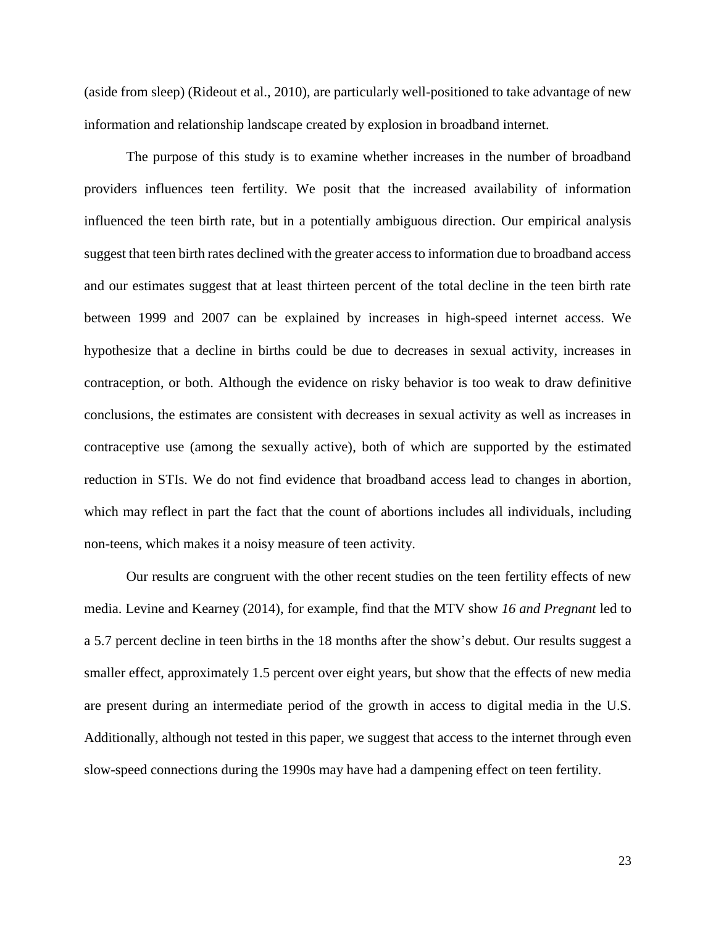(aside from sleep) (Rideout et al., 2010), are particularly well-positioned to take advantage of new information and relationship landscape created by explosion in broadband internet.

The purpose of this study is to examine whether increases in the number of broadband providers influences teen fertility. We posit that the increased availability of information influenced the teen birth rate, but in a potentially ambiguous direction. Our empirical analysis suggest that teen birth rates declined with the greater access to information due to broadband access and our estimates suggest that at least thirteen percent of the total decline in the teen birth rate between 1999 and 2007 can be explained by increases in high-speed internet access. We hypothesize that a decline in births could be due to decreases in sexual activity, increases in contraception, or both. Although the evidence on risky behavior is too weak to draw definitive conclusions, the estimates are consistent with decreases in sexual activity as well as increases in contraceptive use (among the sexually active), both of which are supported by the estimated reduction in STIs. We do not find evidence that broadband access lead to changes in abortion, which may reflect in part the fact that the count of abortions includes all individuals, including non-teens, which makes it a noisy measure of teen activity.

Our results are congruent with the other recent studies on the teen fertility effects of new media. Levine and Kearney (2014), for example, find that the MTV show *16 and Pregnant* led to a 5.7 percent decline in teen births in the 18 months after the show's debut. Our results suggest a smaller effect, approximately 1.5 percent over eight years, but show that the effects of new media are present during an intermediate period of the growth in access to digital media in the U.S. Additionally, although not tested in this paper, we suggest that access to the internet through even slow-speed connections during the 1990s may have had a dampening effect on teen fertility.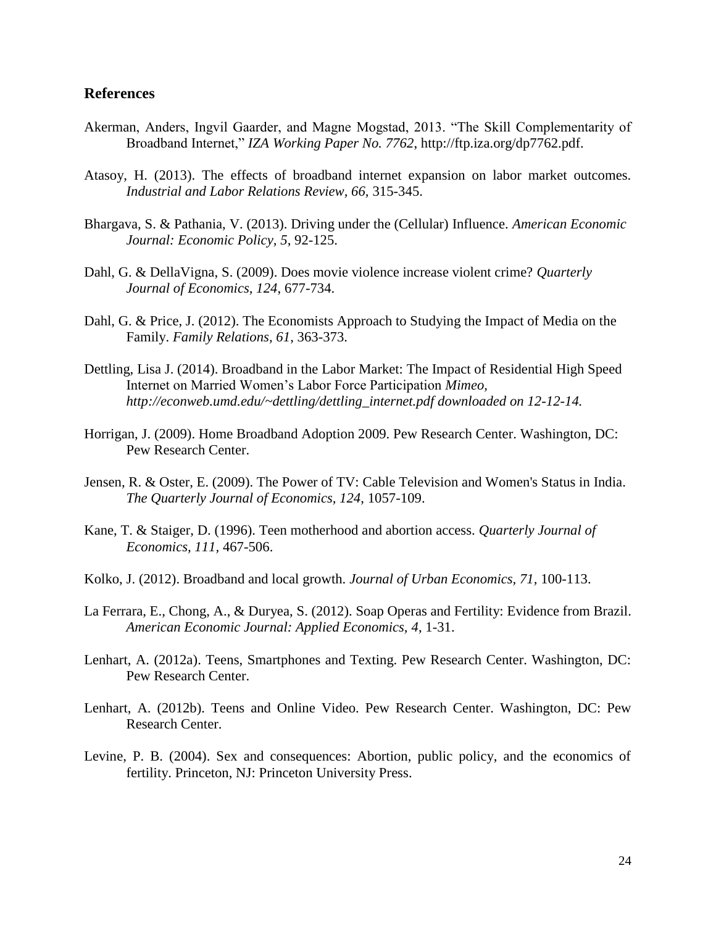#### **References**

- Akerman, Anders, Ingvil Gaarder, and Magne Mogstad, 2013. "The Skill Complementarity of Broadband Internet," *IZA Working Paper No. 7762*, http://ftp.iza.org/dp7762.pdf.
- Atasoy, H. (2013). The effects of broadband internet expansion on labor market outcomes. *Industrial and Labor Relations Review, 66,* 315-345.
- Bhargava, S. & Pathania, V. (2013). Driving under the (Cellular) Influence. *American Economic Journal: Economic Policy, 5*, 92-125.
- Dahl, G. & DellaVigna, S. (2009). Does movie violence increase violent crime? *Quarterly Journal of Economics, 124*, 677-734.
- Dahl, G. & Price, J. (2012). The Economists Approach to Studying the Impact of Media on the Family. *Family Relations, 61*, 363-373.
- Dettling, Lisa J. (2014). Broadband in the Labor Market: The Impact of Residential High Speed Internet on Married Women's Labor Force Participation *Mimeo, http://econweb.umd.edu/~dettling/dettling\_internet.pdf downloaded on 12-12-14.*
- Horrigan, J. (2009). Home Broadband Adoption 2009. Pew Research Center. Washington, DC: Pew Research Center.
- Jensen, R. & Oster, E. (2009). The Power of TV: Cable Television and Women's Status in India. *The Quarterly Journal of Economics, 124*, 1057-109.
- Kane, T. & Staiger, D. (1996). Teen motherhood and abortion access. *Quarterly Journal of Economics, 111,* 467-506.
- Kolko, J. (2012). Broadband and local growth. *Journal of Urban Economics, 71,* 100-113.
- La Ferrara, E., Chong, A., & Duryea, S. (2012). Soap Operas and Fertility: Evidence from Brazil. *American Economic Journal: Applied Economics, 4*, 1-31.
- Lenhart, A. (2012a). Teens, Smartphones and Texting. Pew Research Center. Washington, DC: Pew Research Center.
- Lenhart, A. (2012b). Teens and Online Video. Pew Research Center. Washington, DC: Pew Research Center.
- Levine, P. B. (2004). Sex and consequences: Abortion, public policy, and the economics of fertility. Princeton, NJ: Princeton University Press.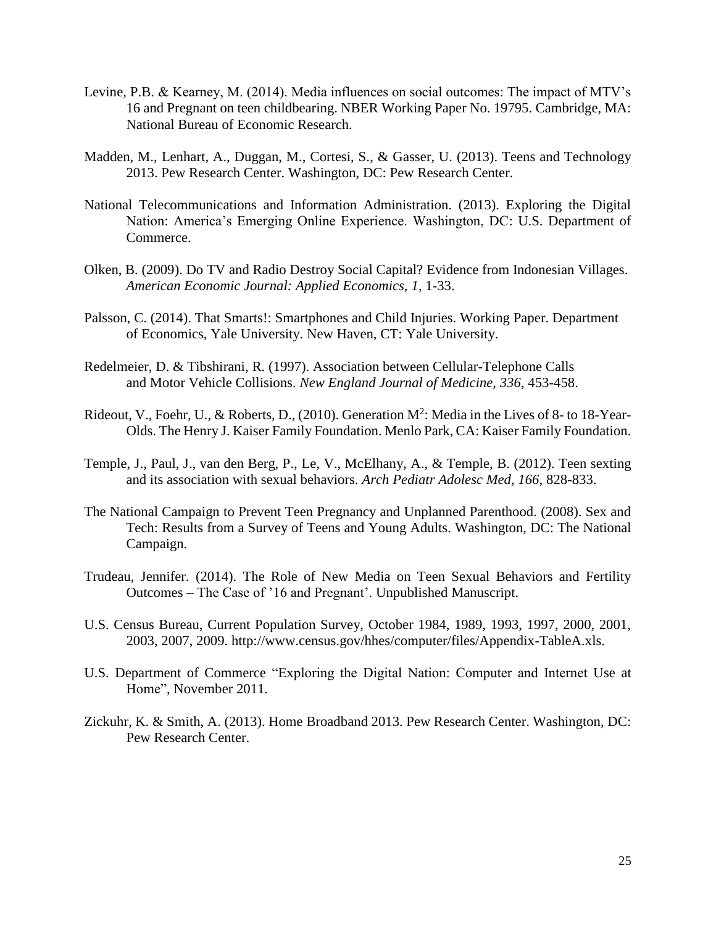- Levine, P.B. & Kearney, M. (2014). Media influences on social outcomes: The impact of MTV's 16 and Pregnant on teen childbearing. NBER Working Paper No. 19795. Cambridge, MA: National Bureau of Economic Research.
- Madden, M., Lenhart, A., Duggan, M., Cortesi, S., & Gasser, U. (2013). Teens and Technology 2013. Pew Research Center. Washington, DC: Pew Research Center.
- National Telecommunications and Information Administration. (2013). Exploring the Digital Nation: America's Emerging Online Experience. Washington, DC: U.S. Department of Commerce.
- Olken, B. (2009). Do TV and Radio Destroy Social Capital? Evidence from Indonesian Villages. *American Economic Journal: Applied Economics, 1*, 1-33.
- Palsson, C. (2014). That Smarts!: Smartphones and Child Injuries. Working Paper. Department of Economics, Yale University. New Haven, CT: Yale University.
- Redelmeier, D. & Tibshirani, R. (1997). Association between Cellular-Telephone Calls and Motor Vehicle Collisions. *New England Journal of Medicine, 336*, 453-458.
- Rideout, V., Foehr, U., & Roberts, D., (2010). Generation  $M^2$ : Media in the Lives of 8- to 18-Year-Olds. The Henry J. Kaiser Family Foundation. Menlo Park, CA: Kaiser Family Foundation.
- Temple, J., Paul, J., van den Berg, P., Le, V., McElhany, A., & Temple, B. (2012). Teen sexting and its association with sexual behaviors. *Arch Pediatr Adolesc Med, 166*, 828-833.
- The National Campaign to Prevent Teen Pregnancy and Unplanned Parenthood. (2008). Sex and Tech: Results from a Survey of Teens and Young Adults. Washington, DC: The National Campaign.
- Trudeau, Jennifer. (2014). The Role of New Media on Teen Sexual Behaviors and Fertility Outcomes – The Case of '16 and Pregnant'. Unpublished Manuscript.
- U.S. Census Bureau, Current Population Survey, October 1984, 1989, 1993, 1997, 2000, 2001, 2003, 2007, 2009. http://www.census.gov/hhes/computer/files/Appendix-TableA.xls.
- U.S. Department of Commerce "Exploring the Digital Nation: Computer and Internet Use at Home", November 2011.
- Zickuhr, K. & Smith, A. (2013). Home Broadband 2013. Pew Research Center. Washington, DC: Pew Research Center.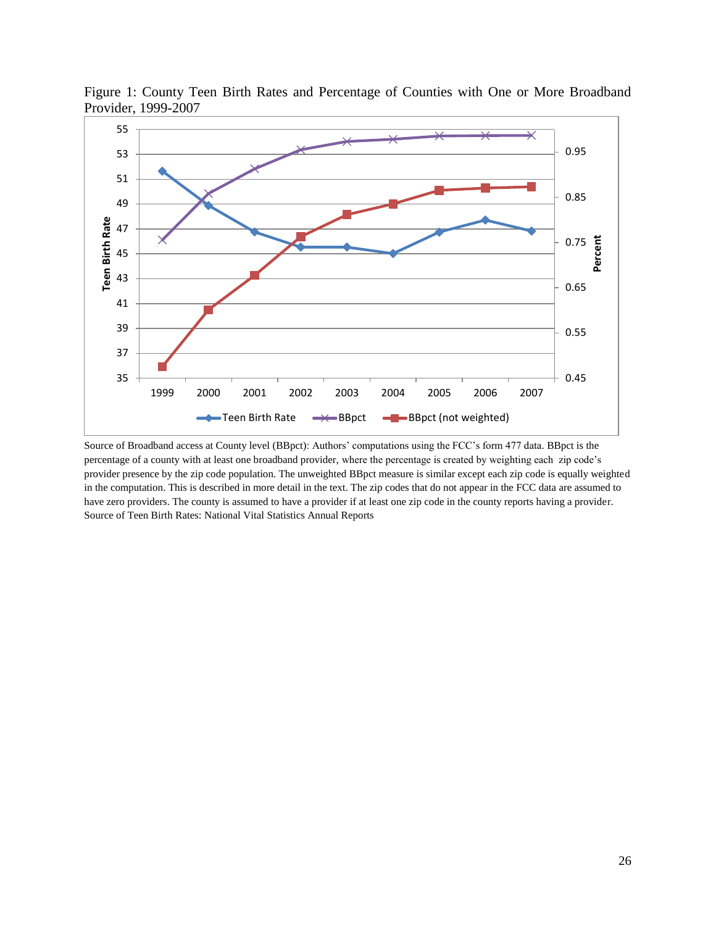

Figure 1: County Teen Birth Rates and Percentage of Counties with One or More Broadband Provider, 1999-2007

Source of Broadband access at County level (BBpct): Authors' computations using the FCC's form 477 data. BBpct is the percentage of a county with at least one broadband provider, where the percentage is created by weighting each zip code's provider presence by the zip code population. The unweighted BBpct measure is similar except each zip code is equally weighted in the computation. This is described in more detail in the text. The zip codes that do not appear in the FCC data are assumed to have zero providers. The county is assumed to have a provider if at least one zip code in the county reports having a provider. Source of Teen Birth Rates: National Vital Statistics Annual Reports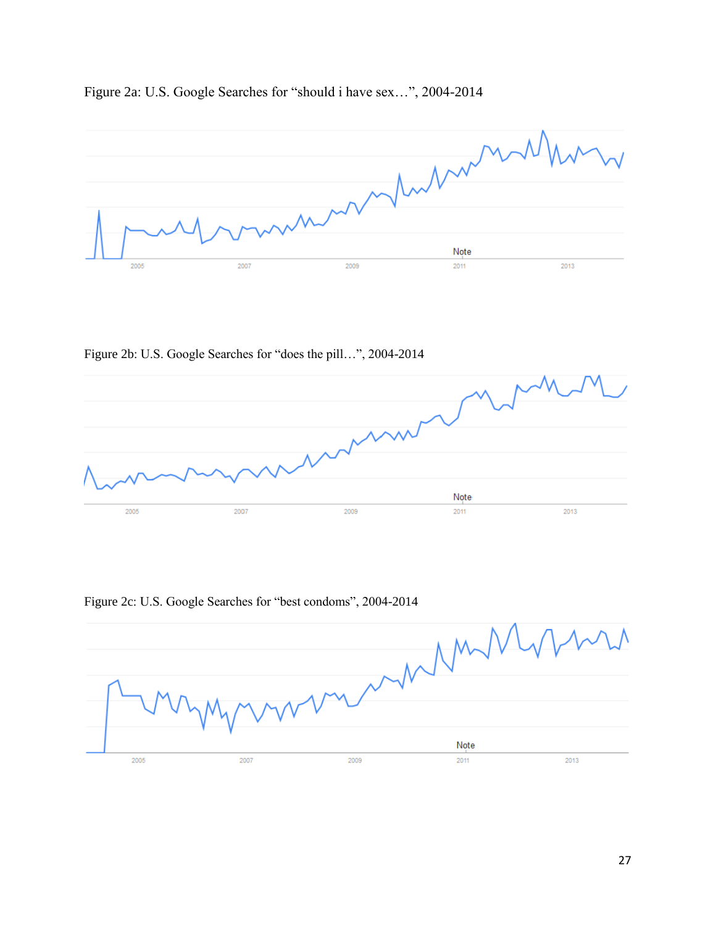

Figure 2a: U.S. Google Searches for "should i have sex…", 2004-2014

Figure 2b: U.S. Google Searches for "does the pill…", 2004-2014



Figure 2c: U.S. Google Searches for "best condoms", 2004-2014

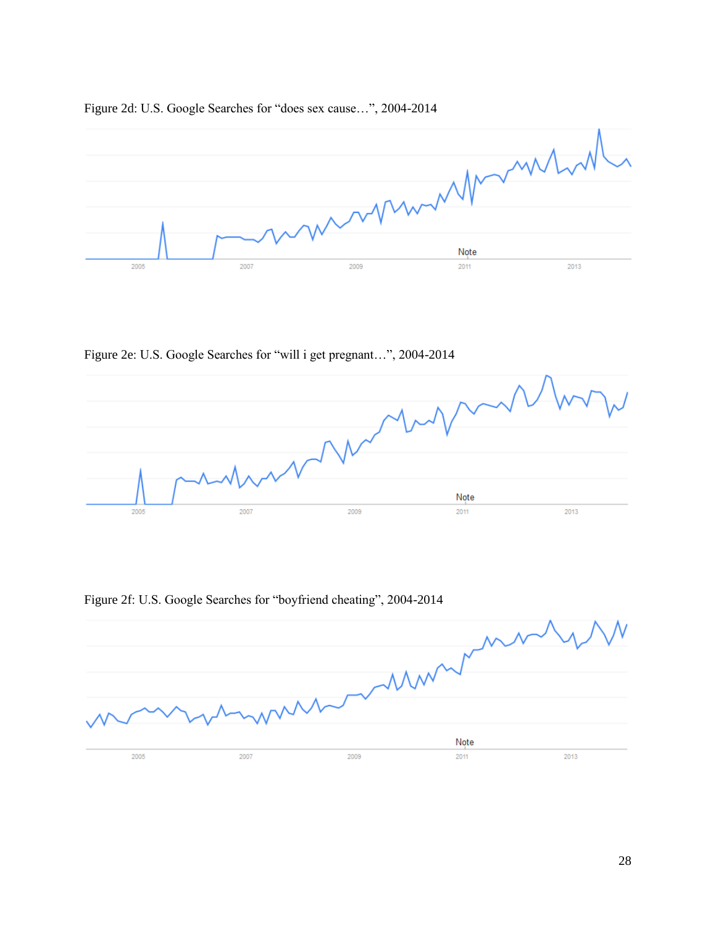

#### Figure 2d: U.S. Google Searches for "does sex cause…", 2004-2014

Figure 2e: U.S. Google Searches for "will i get pregnant…", 2004-2014



Figure 2f: U.S. Google Searches for "boyfriend cheating", 2004-2014

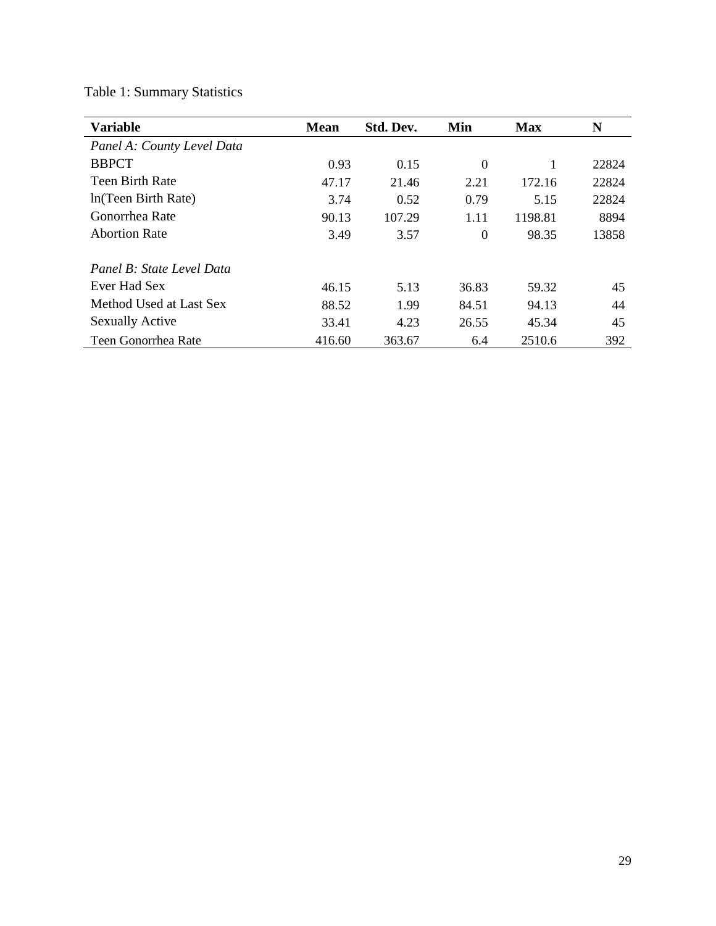| <b>Variable</b>            | <b>Mean</b> | Std. Dev. | Min              | <b>Max</b> | N     |
|----------------------------|-------------|-----------|------------------|------------|-------|
| Panel A: County Level Data |             |           |                  |            |       |
| <b>BBPCT</b>               | 0.93        | 0.15      | $\Omega$         |            | 22824 |
| <b>Teen Birth Rate</b>     | 47.17       | 21.46     | 2.21             | 172.16     | 22824 |
| In (Teen Birth Rate)       | 3.74        | 0.52      | 0.79             | 5.15       | 22824 |
| Gonorrhea Rate             | 90.13       | 107.29    | 1.11             | 1198.81    | 8894  |
| <b>Abortion Rate</b>       | 3.49        | 3.57      | $\boldsymbol{0}$ | 98.35      | 13858 |
| Panel B: State Level Data  |             |           |                  |            |       |
| Ever Had Sex               | 46.15       | 5.13      | 36.83            | 59.32      | 45    |
| Method Used at Last Sex    | 88.52       | 1.99      | 84.51            | 94.13      | 44    |
| <b>Sexually Active</b>     | 33.41       | 4.23      | 26.55            | 45.34      | 45    |
| Teen Gonorrhea Rate        | 416.60      | 363.67    | 6.4              | 2510.6     | 392   |

# Table 1: Summary Statistics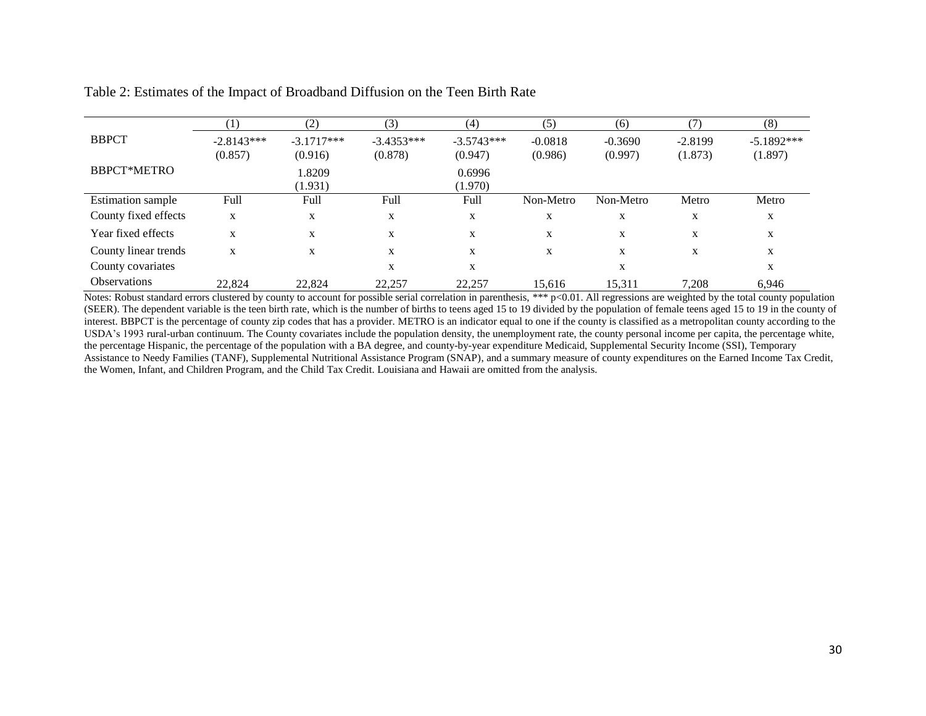|                          |              | (2)          | (3)          | (4)          | (5)       | (6)       |           | (8)          |
|--------------------------|--------------|--------------|--------------|--------------|-----------|-----------|-----------|--------------|
| <b>BBPCT</b>             | $-2.8143***$ | $-3.1717***$ | $-3.4353***$ | $-3.5743***$ | $-0.0818$ | $-0.3690$ | $-2.8199$ | $-5.1892***$ |
|                          | (0.857)      | (0.916)      | (0.878)      | (0.947)      | (0.986)   | (0.997)   | (1.873)   | (1.897)      |
| <b>BBPCT*METRO</b>       |              | 1.8209       |              | 0.6996       |           |           |           |              |
|                          |              | (1.931)      |              | (1.970)      |           |           |           |              |
| <b>Estimation sample</b> | Full         | Full         | Full         | Full         | Non-Metro | Non-Metro | Metro     | Metro        |
| County fixed effects     | X            | X            | X            | X            | X         | X         | X         | X            |
| Year fixed effects       | X            | X            | X            | X            | X         | X         | X         | X            |
| County linear trends     | X            | X            | X            | X            | X         | X         | X         | X            |
| County covariates        |              |              | X            | X            |           | X         |           | X            |
| <b>Observations</b>      | 22,824       | 22.824       | 22,257       | 22,257       | 15,616    | 15,311    | 7,208     | 6,946        |

Table 2: Estimates of the Impact of Broadband Diffusion on the Teen Birth Rate

Notes: Robust standard errors clustered by county to account for possible serial correlation in parenthesis, \*\*\* p<0.01. All regressions are weighted by the total county population (SEER). The dependent variable is the teen birth rate, which is the number of births to teens aged 15 to 19 divided by the population of female teens aged 15 to 19 in the county of interest. BBPCT is the percentage of county zip codes that has a provider. METRO is an indicator equal to one if the county is classified as a metropolitan county according to the USDA's 1993 rural-urban continuum. The County covariates include the population density, the unemployment rate, the county personal income per capita, the percentage white, the percentage Hispanic, the percentage of the population with a BA degree, and county-by-year expenditure Medicaid, Supplemental Security Income (SSI), Temporary Assistance to Needy Families (TANF), Supplemental Nutritional Assistance Program (SNAP), and a summary measure of county expenditures on the Earned Income Tax Credit, the Women, Infant, and Children Program, and the Child Tax Credit. Louisiana and Hawaii are omitted from the analysis.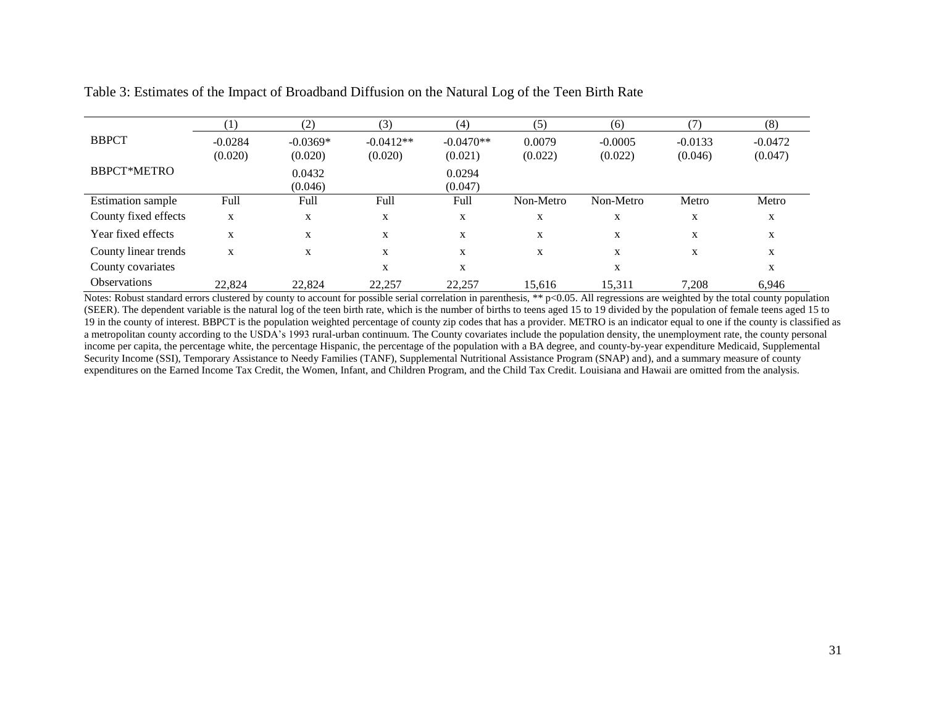|                          | $\left(1\right)$ | (2)        | (3)         | (4)         | (5)       | (6)       | (7)       | (8)       |
|--------------------------|------------------|------------|-------------|-------------|-----------|-----------|-----------|-----------|
| <b>BBPCT</b>             | $-0.0284$        | $-0.0369*$ | $-0.0412**$ | $-0.0470**$ | 0.0079    | $-0.0005$ | $-0.0133$ | $-0.0472$ |
|                          | (0.020)          | (0.020)    | (0.020)     | (0.021)     | (0.022)   | (0.022)   | (0.046)   | (0.047)   |
| <b>BBPCT*METRO</b>       |                  | 0.0432     |             | 0.0294      |           |           |           |           |
|                          |                  | (0.046)    |             | (0.047)     |           |           |           |           |
| <b>Estimation sample</b> | Full             | Full       | Full        | Full        | Non-Metro | Non-Metro | Metro     | Metro     |
| County fixed effects     | X                | X          | X           | X           | X         | X         | X         | X         |
| Year fixed effects       | X                | X          | X           | X           | X         | X         | X         | X         |
| County linear trends     | X                | X          | X           | X           | X         | X         | X         | X         |
| County covariates        |                  |            | X           | X           |           | X         |           | X         |
| <b>Observations</b>      | 22,824           | 22,824     | 22,257      | 22,257      | 15,616    | 15,311    | 7,208     | 6,946     |

Table 3: Estimates of the Impact of Broadband Diffusion on the Natural Log of the Teen Birth Rate

Notes: Robust standard errors clustered by county to account for possible serial correlation in parenthesis, \*\* p<0.05. All regressions are weighted by the total county population (SEER). The dependent variable is the natural log of the teen birth rate, which is the number of births to teens aged 15 to 19 divided by the population of female teens aged 15 to 19 in the county of interest. BBPCT is the population weighted percentage of county zip codes that has a provider. METRO is an indicator equal to one if the county is classified as a metropolitan county according to the USDA's 1993 rural-urban continuum. The County covariates include the population density, the unemployment rate, the county personal income per capita, the percentage white, the percentage Hispanic, the percentage of the population with a BA degree, and county-by-year expenditure Medicaid, Supplemental Security Income (SSI), Temporary Assistance to Needy Families (TANF), Supplemental Nutritional Assistance Program (SNAP) and), and a summary measure of county expenditures on the Earned Income Tax Credit, the Women, Infant, and Children Program, and the Child Tax Credit. Louisiana and Hawaii are omitted from the analysis.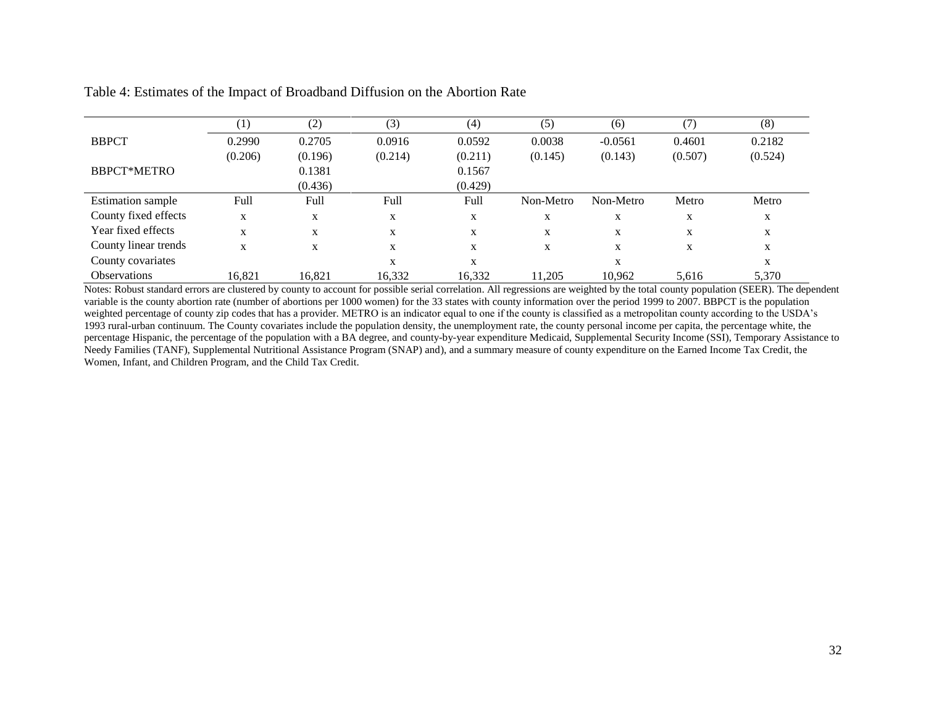| Table 4: Estimates of the Impact of Broadband Diffusion on the Abortion Rate |
|------------------------------------------------------------------------------|
|------------------------------------------------------------------------------|

|                          | $\left(1\right)$ | (2)     | (3)     | (4)     | (5)       | (6)       | (7)     | (8)     |
|--------------------------|------------------|---------|---------|---------|-----------|-----------|---------|---------|
| <b>BBPCT</b>             | 0.2990           | 0.2705  | 0.0916  | 0.0592  | 0.0038    | $-0.0561$ | 0.4601  | 0.2182  |
|                          | (0.206)          | (0.196) | (0.214) | (0.211) | (0.145)   | (0.143)   | (0.507) | (0.524) |
| <b>BBPCT*METRO</b>       |                  | 0.1381  |         | 0.1567  |           |           |         |         |
|                          |                  | (0.436) |         | (0.429) |           |           |         |         |
| <b>Estimation</b> sample | Full             | Full    | Full    | Full    | Non-Metro | Non-Metro | Metro   | Metro   |
| County fixed effects     | X                | X       | X       | X       | X         | X         | X       | X       |
| Year fixed effects       | X                | X       | X       | X       | X         | X         | X       | X       |
| County linear trends     | X                | X       | X       | X       | X         | X         | X       | X       |
| County covariates        |                  |         | X       | X       |           | X         |         | X       |
| <b>Observations</b>      | 16.821           | 16.821  | 16,332  | 16,332  | 11.205    | 10,962    | 5.616   | 5,370   |

Notes: Robust standard errors are clustered by county to account for possible serial correlation. All regressions are weighted by the total county population (SEER). The dependent variable is the county abortion rate (number of abortions per 1000 women) for the 33 states with county information over the period 1999 to 2007. BBPCT is the population weighted percentage of county zip codes that has a provider. METRO is an indicator equal to one if the county is classified as a metropolitan county according to the USDA's 1993 rural-urban continuum. The County covariates include the population density, the unemployment rate, the county personal income per capita, the percentage white, the percentage Hispanic, the percentage of the population with a BA degree, and county-by-year expenditure Medicaid, Supplemental Security Income (SSI), Temporary Assistance to Needy Families (TANF), Supplemental Nutritional Assistance Program (SNAP) and), and a summary measure of county expenditure on the Earned Income Tax Credit, the Women, Infant, and Children Program, and the Child Tax Credit.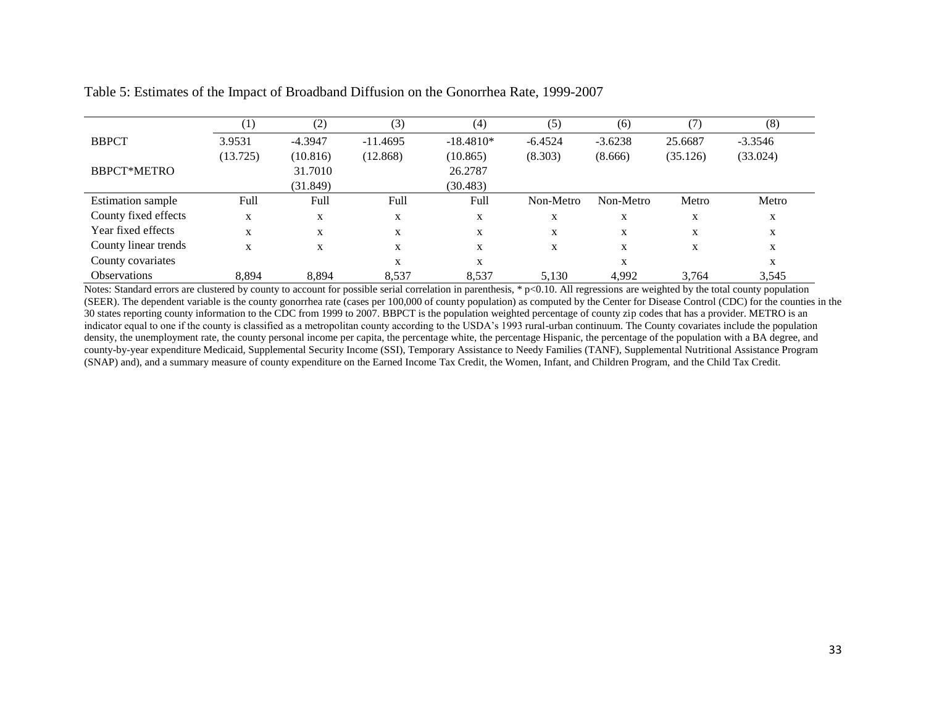|                          | $^{(1)}$ | (2)       | (3)        | (4)         | (5)       | (6)       | (7)      | (8)       |
|--------------------------|----------|-----------|------------|-------------|-----------|-----------|----------|-----------|
| <b>BBPCT</b>             | 3.9531   | $-4.3947$ | $-11.4695$ | $-18.4810*$ | $-6.4524$ | $-3.6238$ | 25.6687  | $-3.3546$ |
|                          | (13.725) | (10.816)  | (12.868)   | (10.865)    | (8.303)   | (8.666)   | (35.126) | (33.024)  |
| <b>BBPCT*METRO</b>       |          | 31.7010   |            | 26.2787     |           |           |          |           |
|                          |          | (31.849)  |            | (30.483)    |           |           |          |           |
| <b>Estimation</b> sample | Full     | Full      | Full       | Full        | Non-Metro | Non-Metro | Metro    | Metro     |
| County fixed effects     | X        | X         | X          | X           | X         | X         | X        | X         |
| Year fixed effects       | X        | X         | X          | X           | X         | X         | X        | X         |
| County linear trends     | X        | X         | X          | X           | X         | X         | X        | X         |
| County covariates        |          |           | X          | X           |           | X         |          | X         |
| <b>Observations</b>      | 8.894    | 8.894     | 8,537      | 8.537       | 5.130     | 4,992     | 3.764    | 3,545     |

Table 5: Estimates of the Impact of Broadband Diffusion on the Gonorrhea Rate, 1999-2007

Notes: Standard errors are clustered by county to account for possible serial correlation in parenthesis,  $* p < 0.10$ . All regressions are weighted by the total county population (SEER). The dependent variable is the county gonorrhea rate (cases per 100,000 of county population) as computed by the Center for Disease Control (CDC) for the counties in the 30 states reporting county information to the CDC from 1999 to 2007. BBPCT is the population weighted percentage of county zip codes that has a provider. METRO is an indicator equal to one if the county is classified as a metropolitan county according to the USDA's 1993 rural-urban continuum. The County covariates include the population density, the unemployment rate, the county personal income per capita, the percentage white, the percentage Hispanic, the percentage of the population with a BA degree, and county-by-year expenditure Medicaid, Supplemental Security Income (SSI), Temporary Assistance to Needy Families (TANF), Supplemental Nutritional Assistance Program (SNAP) and), and a summary measure of county expenditure on the Earned Income Tax Credit, the Women, Infant, and Children Program, and the Child Tax Credit.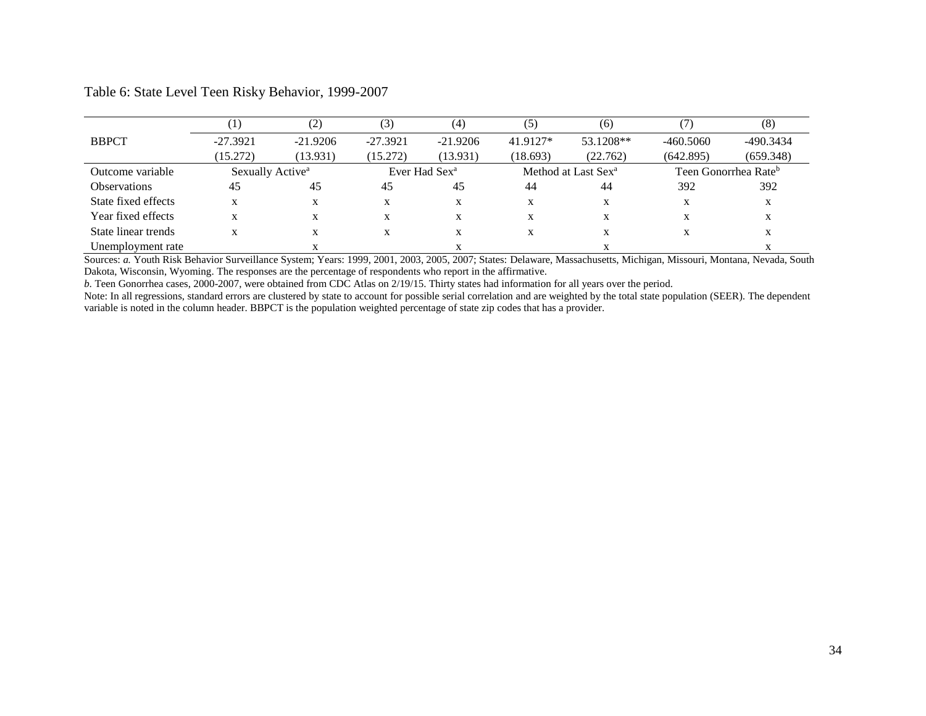|                     |                              |            | [3]        | (4)                       | (5)      | (6)                             |           | (8)                              |
|---------------------|------------------------------|------------|------------|---------------------------|----------|---------------------------------|-----------|----------------------------------|
| <b>BBPCT</b>        | $-27.3921$                   | $-21.9206$ | $-27.3921$ | $-21.9206$                | 41.9127* | 53.1208**                       | -460.5060 | $-490.3434$                      |
|                     | (15.272)                     | (13.931)   | (15.272)   | (13.931)                  | (18.693) | (22.762)                        | (642.895) | (659.348)                        |
| Outcome variable    | Sexually Active <sup>a</sup> |            |            | Ever Had Sex <sup>a</sup> |          | Method at Last Sex <sup>a</sup> |           | Teen Gonorrhea Rate <sup>b</sup> |
| <b>Observations</b> | 45                           | 45         | 45         | 45                        | 44       | 44                              | 392       | 392                              |
| State fixed effects | $\lambda$                    | X          | X          | X                         | X        | X                               | X         | X                                |
| Year fixed effects  | $\lambda$                    | X          | $\lambda$  | X                         | X        | $\lambda$                       | X         | X                                |
| State linear trends | $\lambda$                    |            | $\lambda$  | X                         | X        | $\lambda$                       | X         | X                                |
| Unemployment rate   |                              |            |            |                           |          |                                 |           |                                  |

Table 6: State Level Teen Risky Behavior, 1999-2007

Sources: *a.* Youth Risk Behavior Surveillance System; Years: 1999, 2001, 2003, 2005, 2007; States: Delaware, Massachusetts, Michigan, Missouri, Montana, Nevada, South Dakota, Wisconsin, Wyoming. The responses are the percentage of respondents who report in the affirmative.

*b.* Teen Gonorrhea cases, 2000-2007, were obtained from CDC Atlas on 2/19/15. Thirty states had information for all years over the period.

Note: In all regressions, standard errors are clustered by state to account for possible serial correlation and are weighted by the total state population (SEER). The dependent variable is noted in the column header. BBPCT is the population weighted percentage of state zip codes that has a provider.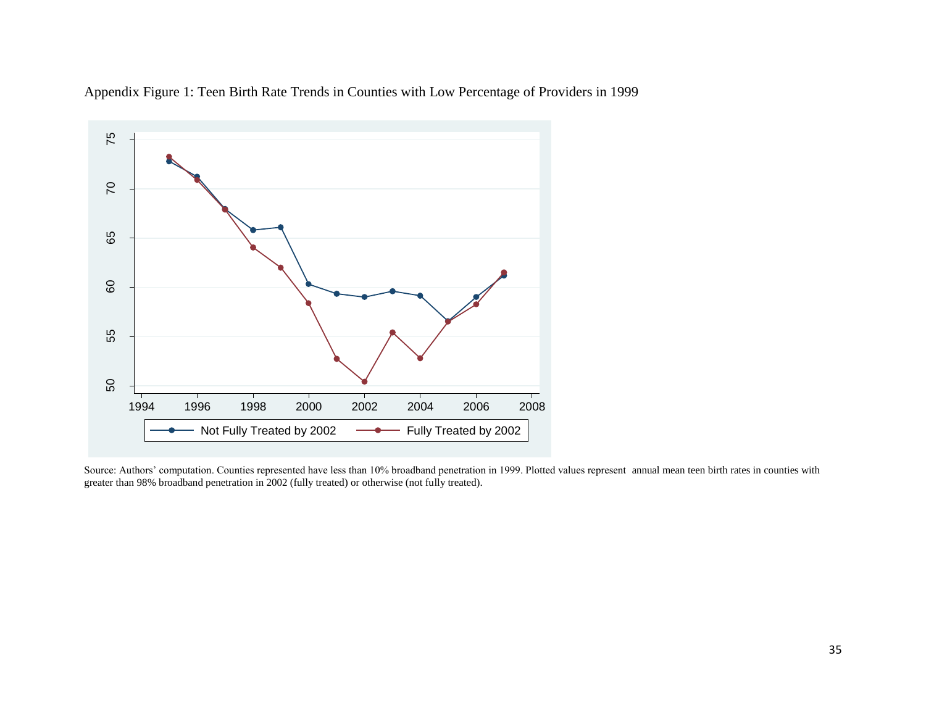

Appendix Figure 1: Teen Birth Rate Trends in Counties with Low Percentage of Providers in 1999

Source: Authors' computation. Counties represented have less than 10% broadband penetration in 1999. Plotted values represent annual mean teen birth rates in counties with greater than 98% broadband penetration in 2002 (fully treated) or otherwise (not fully treated).